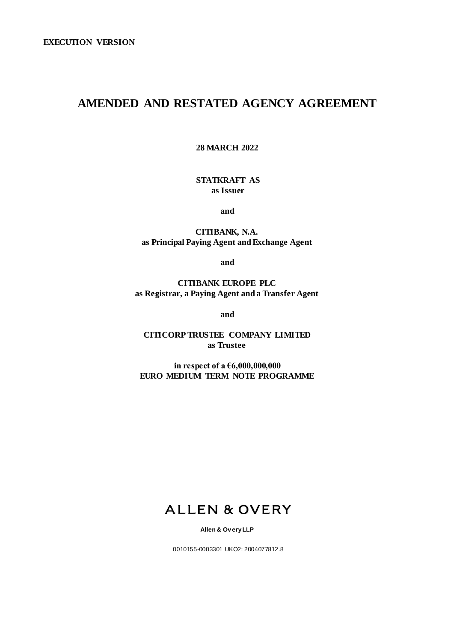# **AMENDED AND RESTATED AGENCY AGREEMENT**

**28 MARCH 2022**

**STATKRAFT AS as Issuer** 

**and** 

**CITIBANK, N.A. as Principal Paying Agent and Exchange Agent** 

**and** 

**CITIBANK EUROPE PLC as Registrar, a Paying Agent and a Transfer Agent**

**and** 

**CITICORP TRUSTEE COMPANY LIMITED as Trustee** 

**in respect of a €6,000,000,000 EURO MEDIUM TERM NOTE PROGRAMME** 

# **ALLEN & OVERY**

**Allen & Ov ery LLP** 

0010155-0003301 UKO2: 2004077812.8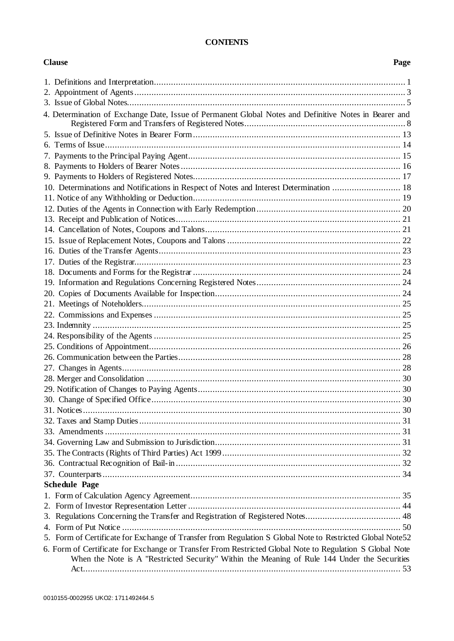## **CONTENTS**

## **Clause Page**

| 4. Determination of Exchange Date, Issue of Permanent Global Notes and Definitive Notes in Bearer and     |  |
|-----------------------------------------------------------------------------------------------------------|--|
|                                                                                                           |  |
|                                                                                                           |  |
|                                                                                                           |  |
|                                                                                                           |  |
|                                                                                                           |  |
| 10. Determinations and Notifications in Respect of Notes and Interest Determination  18                   |  |
|                                                                                                           |  |
|                                                                                                           |  |
|                                                                                                           |  |
|                                                                                                           |  |
|                                                                                                           |  |
|                                                                                                           |  |
|                                                                                                           |  |
|                                                                                                           |  |
|                                                                                                           |  |
|                                                                                                           |  |
|                                                                                                           |  |
|                                                                                                           |  |
|                                                                                                           |  |
|                                                                                                           |  |
|                                                                                                           |  |
|                                                                                                           |  |
|                                                                                                           |  |
|                                                                                                           |  |
|                                                                                                           |  |
|                                                                                                           |  |
|                                                                                                           |  |
|                                                                                                           |  |
|                                                                                                           |  |
|                                                                                                           |  |
|                                                                                                           |  |
|                                                                                                           |  |
|                                                                                                           |  |
| <b>Schedule Page</b>                                                                                      |  |
|                                                                                                           |  |
|                                                                                                           |  |
|                                                                                                           |  |
|                                                                                                           |  |
| 5. Form of Certificate for Exchange of Transfer from Regulation S Global Note to Restricted Global Note52 |  |
| 6. Form of Certificate for Exchange or Transfer From Restricted Global Note to Regulation S Global Note   |  |
| When the Note is A "Restricted Security" Within the Meaning of Rule 144 Under the Securities              |  |
|                                                                                                           |  |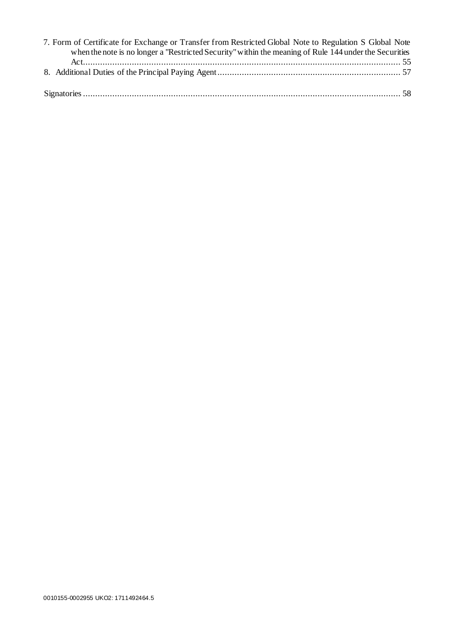| 7. Form of Certificate for Exchange or Transfer from Restricted Global Note to Regulation S Global Note |  |
|---------------------------------------------------------------------------------------------------------|--|
| when the note is no longer a "Restricted Security" within the meaning of Rule 144 under the Securities  |  |
|                                                                                                         |  |
|                                                                                                         |  |
|                                                                                                         |  |
|                                                                                                         |  |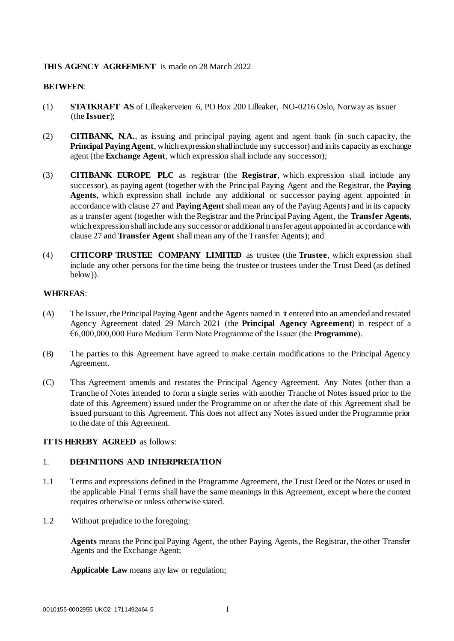## **THIS AGENCY AGREEMENT** is made on 28 March 2022

## **BETWEEN**:

- (1) **STATKRAFT AS** of Lilleakerveien 6, PO Box 200 Lilleaker, NO-0216 Oslo, Norway as issuer (the **Issuer**);
- (2) **CITIBANK, N.A.**, as issuing and principal paying agent and agent bank (in such capacity, the **Principal Paying Agent**, which expression shall include any successor) and in its capacity as exchange agent (the **Exchange Agent**, which expression shall include any successor);
- (3) **CITIBANK EUROPE PLC** as registrar (the **Registrar**, which expression shall include any successor), as paying agent (together with the Principal Paying Agent and the Registrar, the **Paying Agents**, which expression shall include any additional or successor paying agent appointed in accordance with clause 27 and **Paying Agent** shall mean any of the Paying Agents) and in its capacity as a transfer agent (together with the Registrar and the Principal Paying Agent, the **Transfer Agents**, which expression shall include any successor or additional transfer agent appointed in accordance with clause 27 and **Transfer Agent** shall mean any of the Transfer Agents); and
- (4) **CITICORP TRUSTEE COMPANY LIMITED** as trustee (the **Trustee**, which expression shall include any other persons for the time being the trustee or trustees under the Trust Deed (as defined below)).

## **WHEREAS**:

- (A) The Issuer, the Principal Paying Agent and the Agents named in it entered into an amended and restated Agency Agreement dated 29 March 2021 (the **Principal Agency Agreement**) in respect of a €6,000,000,000 Euro Medium Term Note Programme of the Issuer (the **Programme**).
- (B) The parties to this Agreement have agreed to make certain modifications to the Principal Agency Agreement.
- (C) This Agreement amends and restates the Principal Agency Agreement. Any Notes (other than a Tranche of Notes intended to form a single series with another Tranche of Notes issued prior to the date of this Agreement) issued under the Programme on or after the date of this Agreement shall be issued pursuant to this Agreement. This does not affect any Notes issued under the Programme prior to the date of this Agreement.

## **IT IS HEREBY AGREED** as follows:

## <span id="page-4-0"></span>1. **DEFINITIONS AND INTERPRETATION**

- 1.1 Terms and expressions defined in the Programme Agreement, the Trust Deed or the Notes or used in the applicable Final Terms shall have the same meanings in this Agreement, except where the context requires otherwise or unless otherwise stated.
- 1.2 Without prejudice to the foregoing:

**Agents** means the Principal Paying Agent, the other Paying Agents, the Registrar, the other Transfer Agents and the Exchange Agent;

**Applicable Law** means any law or regulation;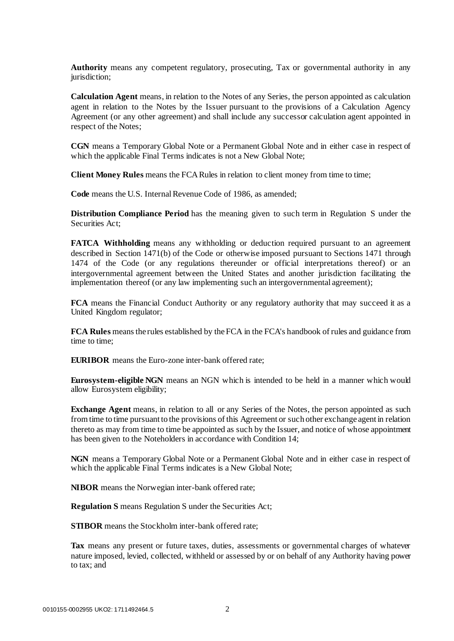**Authority** means any competent regulatory, prosecuting, Tax or governmental authority in any jurisdiction;

**Calculation Agent** means, in relation to the Notes of any Series, the person appointed as calculation agent in relation to the Notes by the Issuer pursuant to the provisions of a Calculation Agency Agreement (or any other agreement) and shall include any successor calculation agent appointed in respect of the Notes;

**CGN** means a Temporary Global Note or a Permanent Global Note and in either case in respect of which the applicable Final Terms indicates is not a New Global Note;

**Client Money Rules** means the FCA Rules in relation to client money from time to time;

**Code** means the U.S. Internal Revenue Code of 1986, as amended;

**Distribution Compliance Period** has the meaning given to such term in Regulation S under the Securities Act;

**FATCA Withholding** means any withholding or deduction required pursuant to an agreement described in Section 1471(b) of the Code or otherwise imposed pursuant to Sections 1471 through 1474 of the Code (or any regulations thereunder or official interpretations thereof) or an intergovernmental agreement between the United States and another jurisdiction facilitating the implementation thereof (or any law implementing such an intergovernmental agreement);

**FCA** means the Financial Conduct Authority or any regulatory authority that may succeed it as a United Kingdom regulator;

**FCA Rules** means the rules established by the FCA in the FCA's handbook of rules and guidance from time to time;

**EURIBOR** means the Euro-zone inter-bank offered rate;

**Eurosystem-eligible NGN** means an NGN which is intended to be held in a manner which would allow Eurosystem eligibility;

**Exchange Agent** means, in relation to all or any Series of the Notes, the person appointed as such from time to time pursuant to the provisions of this Agreement or such other exchange agent in relation thereto as may from time to time be appointed as such by the Issuer, and notice of whose appointment has been given to the Noteholders in accordance with Condition 14;

**NGN** means a Temporary Global Note or a Permanent Global Note and in either case in respect of which the applicable Final Terms indicates is a New Global Note;

**NIBOR** means the Norwegian inter-bank offered rate;

**Regulation S** means Regulation S under the Securities Act;

**STIBOR** means the Stockholm inter-bank offered rate:

**Tax** means any present or future taxes, duties, assessments or governmental charges of whatever nature imposed, levied, collected, withheld or assessed by or on behalf of any Authority having power to tax; and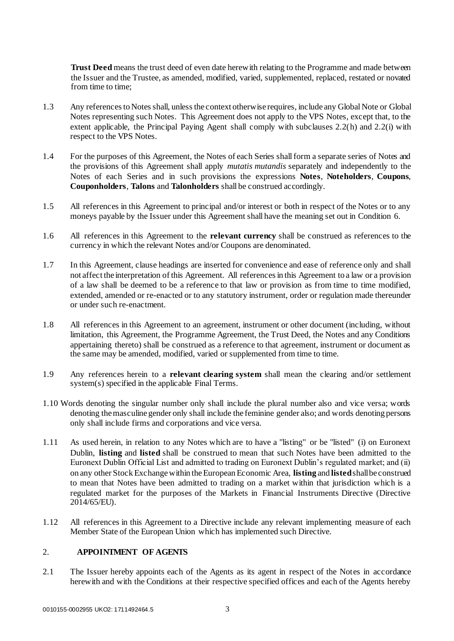**Trust Deed** means the trust deed of even date herewith relating to the Programme and made between the Issuer and the Trustee, as amended, modified, varied, supplemented, replaced, restated or novated from time to time;

- 1.3 Any references to Notes shall, unless the context otherwise requires, include any Global Note or Global Notes representing such Notes. This Agreement does not apply to the VPS Notes, except that, to the extent applicable, the Principal Paying Agent shall comply with subclauses 2.2(h) and 2.2(i) with respect to the VPS Notes.
- 1.4 For the purposes of this Agreement, the Notes of each Series shall form a separate series of Notes and the provisions of this Agreement shall apply *mutatis mutandis* separately and independently to the Notes of each Series and in such provisions the expressions **Notes**, **Noteholders**, **Coupons**, **Couponholders**, **Talons** and **Talonholders** shall be construed accordingly.
- 1.5 All references in this Agreement to principal and/or interest or both in respect of the Notes or to any moneys payable by the Issuer under this Agreement shall have the meaning set out in Condition 6.
- 1.6 All references in this Agreement to the **relevant currency** shall be construed as references to the currency in which the relevant Notes and/or Coupons are denominated.
- 1.7 In this Agreement, clause headings are inserted for convenience and ease of reference only and shall not affect the interpretation of this Agreement. All references in this Agreement to a law or a provision of a law shall be deemed to be a reference to that law or provision as from time to time modified, extended, amended or re-enacted or to any statutory instrument, order or regulation made thereunder or under such re-enactment.
- 1.8 All references in this Agreement to an agreement, instrument or other document (including, without limitation, this Agreement, the Programme Agreement, the Trust Deed, the Notes and any Conditions appertaining thereto) shall be construed as a reference to that agreement, instrument or document as the same may be amended, modified, varied or supplemented from time to time.
- 1.9 Any references herein to a **relevant clearing system** shall mean the clearing and/or settlement system(s) specified in the applicable Final Terms.
- 1.10 Words denoting the singular number only shall include the plural number also and vice versa; words denoting the masculine gender only shall include the feminine gender also; and words denoting persons only shall include firms and corporations and vice versa.
- 1.11 As used herein, in relation to any Notes which are to have a "listing" or be "listed" (i) on Euronext Dublin, **listing** and **listed** shall be construed to mean that such Notes have been admitted to the Euronext Dublin Official List and admitted to trading on Euronext Dublin's regulated market; and (ii) on any other Stock Exchange within the European Economic Area, **listing** and **listed**shall be construed to mean that Notes have been admitted to trading on a market within that jurisdiction which is a regulated market for the purposes of the Markets in Financial Instruments Directive (Directive 2014/65/EU).
- 1.12 All references in this Agreement to a Directive include any relevant implementing measure of each Member State of the European Union which has implemented such Directive.

## <span id="page-6-0"></span>2. **APPOINTMENT OF AGENTS**

2.1 The Issuer hereby appoints each of the Agents as its agent in respect of the Notes in accordance herewith and with the Conditions at their respective specified offices and each of the Agents hereby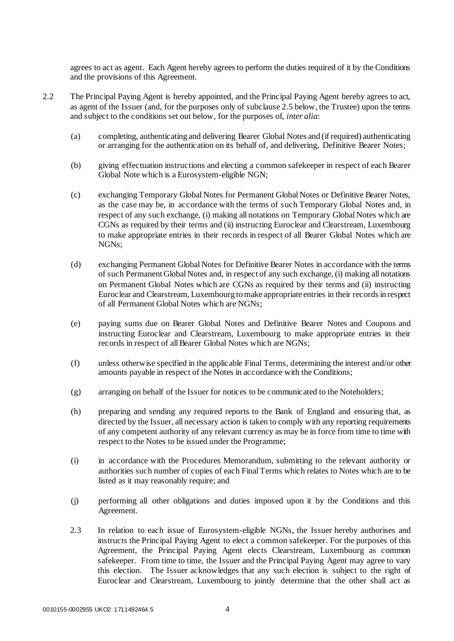agrees to act as agent. Each Agent hereby agrees to perform the duties required of it by the Conditions and the provisions of this Agreement.

- 2.2 The Principal Paying Agent is hereby appointed, and the Principal Paying Agent hereby agrees to act, as agent of the Issuer (and, for the purposes only of subclause 2.5 below, the Trustee) upon the terms and subject to the conditions set out below, for the purposes of, *inter alia*:
	- (a) completing, authenticating and delivering Bearer Global Notes and (if required) authenticating or arranging for the authentication on its behalf of, and delivering, Definitive Bearer Notes;
	- (b) giving effectuation instructions and electing a common safekeeper in respect of each Bearer Global Note which is a Eurosystem-eligible NGN;
	- (c) exchanging Temporary Global Notes for Permanent Global Notes or Definitive Bearer Notes, as the case may be, in accordance with the terms of such Temporary Global Notes and, in respect of any such exchange, (i) making all notations on Temporary Global Notes which are CGNs as required by their terms and (ii) instructing Euroclear and Clearstream, Luxembourg to make appropriate entries in their records in respect of all Bearer Global Notes which are NGNs;
	- (d) exchanging Permanent Global Notes for Definitive Bearer Notes in accordance with the terms of such Permanent Global Notes and, in respect of any such exchange, (i) making all notations on Permanent Global Notes which are CGNs as required by their terms and (ii) instructing Euroclear and Clearstream, Luxembourg to make appropriate entries in their records in respect of all Permanent Global Notes which are NGNs;
	- (e) paying sums due on Bearer Global Notes and Definitive Bearer Notes and Coupons and instructing Euroclear and Clearstream, Luxembourg to make appropriate entries in their records in respect of all Bearer Global Notes which are NGNs;
	- (f) unless otherwise specified in the applicable Final Terms, determining the interest and/or other amounts payable in respect of the Notes in accordance with the Conditions;
	- (g) arranging on behalf of the Issuer for notices to be communicated to the Noteholders;
	- (h) preparing and sending any required reports to the Bank of England and ensuring that, as directed by the Issuer, all necessary action is taken to comply with any reporting requirements of any competent authority of any relevant currency as may be in force from time to time with respect to the Notes to be issued under the Programme;
	- (i) in accordance with the Procedures Memorandum, submitting to the relevant authority or authorities such number of copies of each Final Terms which relates to Notes which are to be listed as it may reasonably require; and
	- (j) performing all other obligations and duties imposed upon it by the Conditions and this Agreement.
	- 2.3 In relation to each issue of Eurosystem-eligible NGNs, the Issuer hereby authorises and instructs the Principal Paying Agent to elect a common safekeeper. For the purposes of this Agreement, the Principal Paying Agent elects Clearstream, Luxembourg as common safekeeper. From time to time, the Issuer and the Principal Paying Agent may agree to vary this election. The Issuer acknowledges that any such election is subject to the right of Euroclear and Clearstream, Luxembourg to jointly determine that the other shall act as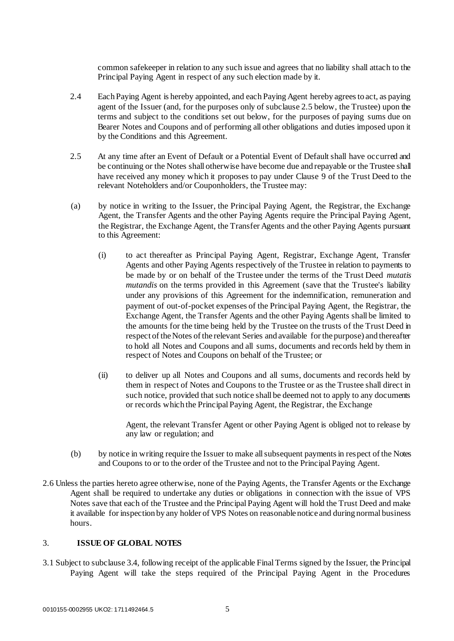common safekeeper in relation to any such issue and agrees that no liability shall attach to the Principal Paying Agent in respect of any such election made by it.

- 2.4 Each Paying Agent is hereby appointed, and each Paying Agent hereby agrees to act, as paying agent of the Issuer (and, for the purposes only of subclause 2.5 below, the Trustee) upon the terms and subject to the conditions set out below, for the purposes of paying sums due on Bearer Notes and Coupons and of performing all other obligations and duties imposed upon it by the Conditions and this Agreement.
- 2.5 At any time after an Event of Default or a Potential Event of Default shall have occurred and be continuing or the Notes shall otherwise have become due and repayable or the Trustee shall have received any money which it proposes to pay under Clause 9 of the Trust Deed to the relevant Noteholders and/or Couponholders, the Trustee may:
- (a) by notice in writing to the Issuer, the Principal Paying Agent, the Registrar, the Exchange Agent, the Transfer Agents and the other Paying Agents require the Principal Paying Agent, the Registrar, the Exchange Agent, the Transfer Agents and the other Paying Agents pursuant to this Agreement:
	- (i) to act thereafter as Principal Paying Agent, Registrar, Exchange Agent, Transfer Agents and other Paying Agents respectively of the Trustee in relation to payments to be made by or on behalf of the Trustee under the terms of the Trust Deed *mutatis mutandis* on the terms provided in this Agreement (save that the Trustee's liability under any provisions of this Agreement for the indemnification, remuneration and payment of out-of-pocket expenses of the Principal Paying Agent, the Registrar, the Exchange Agent, the Transfer Agents and the other Paying Agents shall be limited to the amounts for the time being held by the Trustee on the trusts of the Trust Deed in respect of the Notes of the relevant Series and available for the purpose) and thereafter to hold all Notes and Coupons and all sums, documents and records held by them in respect of Notes and Coupons on behalf of the Trustee; or
	- (ii) to deliver up all Notes and Coupons and all sums, documents and records held by them in respect of Notes and Coupons to the Trustee or as the Trustee shall direct in such notice, provided that such notice shall be deemed not to apply to any documents or records which the Principal Paying Agent, the Registrar, the Exchange

Agent, the relevant Transfer Agent or other Paying Agent is obliged not to release by any law or regulation; and

- (b) by notice in writing require the Issuer to make all subsequent payments in respect of the Notes and Coupons to or to the order of the Trustee and not to the Principal Paying Agent.
- 2.6 Unless the parties hereto agree otherwise, none of the Paying Agents, the Transfer Agents or the Exchange Agent shall be required to undertake any duties or obligations in connection with the issue of VPS Notes save that each of the Trustee and the Principal Paying Agent will hold the Trust Deed and make it available for inspection by any holder of VPS Notes on reasonable notice and during normal business hours.

## <span id="page-8-0"></span>3. **ISSUE OF GLOBAL NOTES**

3.1 Subject to subclause 3.4, following receipt of the applicable Final Terms signed by the Issuer, the Principal Paying Agent will take the steps required of the Principal Paying Agent in the Procedures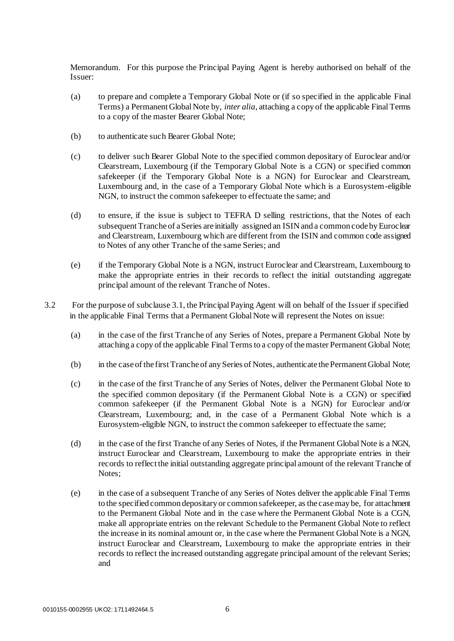Memorandum. For this purpose the Principal Paying Agent is hereby authorised on behalf of the Issuer:

- (a) to prepare and complete a Temporary Global Note or (if so specified in the applicable Final Terms) a Permanent Global Note by, *inter alia*, attaching a copy of the applicable Final Terms to a copy of the master Bearer Global Note;
- (b) to authenticate such Bearer Global Note;
- (c) to deliver such Bearer Global Note to the specified common depositary of Euroclear and/or Clearstream, Luxembourg (if the Temporary Global Note is a CGN) or specified common safekeeper (if the Temporary Global Note is a NGN) for Euroclear and Clearstream, Luxembourg and, in the case of a Temporary Global Note which is a Eurosystem-eligible NGN, to instruct the common safekeeper to effectuate the same; and
- (d) to ensure, if the issue is subject to TEFRA D selling restrictions, that the Notes of each subsequent Tranche of a Series are initially assigned an ISIN and a common code by Euroclear and Clearstream, Luxembourg which are different from the ISIN and common code assigned to Notes of any other Tranche of the same Series; and
- (e) if the Temporary Global Note is a NGN, instruct Euroclear and Clearstream, Luxembourg to make the appropriate entries in their records to reflect the initial outstanding aggregate principal amount of the relevant Tranche of Notes.
- 3.2 For the purpose of subclause 3.1, the Principal Paying Agent will on behalf of the Issuer if specified in the applicable Final Terms that a Permanent Global Note will represent the Notes on issue:
	- (a) in the case of the first Tranche of any Series of Notes, prepare a Permanent Global Note by attaching a copy of the applicable Final Terms to a copy of the master Permanent Global Note;
	- (b) in the case of the first Tranche of any Series of Notes, authenticate the Permanent Global Note;
	- (c) in the case of the first Tranche of any Series of Notes, deliver the Permanent Global Note to the specified common depositary (if the Permanent Global Note is a CGN) or specified common safekeeper (if the Permanent Global Note is a NGN) for Euroclear and/or Clearstream, Luxembourg; and, in the case of a Permanent Global Note which is a Eurosystem-eligible NGN, to instruct the common safekeeper to effectuate the same;
	- (d) in the case of the first Tranche of any Series of Notes, if the Permanent Global Note is a NGN, instruct Euroclear and Clearstream, Luxembourg to make the appropriate entries in their records to reflect the initial outstanding aggregate principal amount of the relevant Tranche of Notes;
	- (e) in the case of a subsequent Tranche of any Series of Notes deliver the applicable Final Terms to the specified common depositary or common safekeeper, as the case may be, for attachment to the Permanent Global Note and in the case where the Permanent Global Note is a CGN, make all appropriate entries on the relevant Schedule to the Permanent Global Note to reflect the increase in its nominal amount or, in the case where the Permanent Global Note is a NGN, instruct Euroclear and Clearstream, Luxembourg to make the appropriate entries in their records to reflect the increased outstanding aggregate principal amount of the relevant Series; and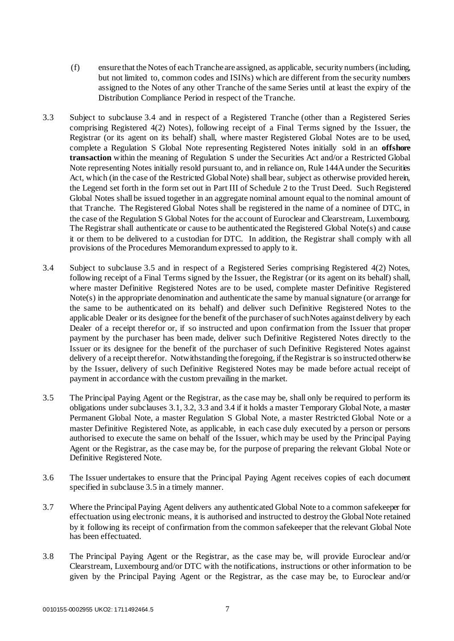- (f) ensure that the Notes of each Tranche are assigned, as applicable, security numbers (including, but not limited to, common codes and ISINs) which are different from the security numbers assigned to the Notes of any other Tranche of the same Series until at least the expiry of the Distribution Compliance Period in respect of the Tranche.
- 3.3 Subject to subclause 3.4 and in respect of a Registered Tranche (other than a Registered Series comprising Registered 4(2) Notes), following receipt of a Final Terms signed by the Issuer, the Registrar (or its agent on its behalf) shall, where master Registered Global Notes are to be used, complete a Regulation S Global Note representing Registered Notes initially sold in an **offshore transaction** within the meaning of Regulation S under the Securities Act and/or a Restricted Global Note representing Notes initially resold pursuant to, and in reliance on, Rule 144A under the Securities Act, which (in the case of the Restricted Global Note) shall bear, subject as otherwise provided herein, the Legend set forth in the form set out in Part III of Schedule 2 to the Trust Deed. Such Registered Global Notes shall be issued together in an aggregate nominal amount equal to the nominal amount of that Tranche. The Registered Global Notes shall be registered in the name of a nominee of DTC, in the case of the Regulation S Global Notes for the account of Euroclear and Clearstream, Luxembourg. The Registrar shall authenticate or cause to be authenticated the Registered Global Note(s) and cause it or them to be delivered to a custodian for DTC. In addition, the Registrar shall comply with all provisions of the Procedures Memorandum expressed to apply to it.
- 3.4 Subject to subclause 3.5 and in respect of a Registered Series comprising Registered 4(2) Notes, following receipt of a Final Terms signed by the Issuer, the Registrar (or its agent on its behalf) shall, where master Definitive Registered Notes are to be used, complete master Definitive Registered  $Note(s)$  in the appropriate denomination and authenticate the same by manual signature (or arrange for the same to be authenticated on its behalf) and deliver such Definitive Registered Notes to the applicable Dealer or its designee for the benefit of the purchaser of such Notes against delivery by each Dealer of a receipt therefor or, if so instructed and upon confirmation from the Issuer that proper payment by the purchaser has been made, deliver such Definitive Registered Notes directly to the Issuer or its designee for the benefit of the purchaser of such Definitive Registered Notes against delivery of a receipt therefor. Notwithstanding the foregoing, if the Registrar is so instructed otherwise by the Issuer, delivery of such Definitive Registered Notes may be made before actual receipt of payment in accordance with the custom prevailing in the market.
- 3.5 The Principal Paying Agent or the Registrar, as the case may be, shall only be required to perform its obligations under subclauses 3.1, 3.2, 3.3 and 3.4 if it holds a master Temporary Global Note, a master Permanent Global Note, a master Regulation S Global Note, a master Restricted Global Note or a master Definitive Registered Note, as applicable, in each case duly executed by a person or persons authorised to execute the same on behalf of the Issuer, which may be used by the Principal Paying Agent or the Registrar, as the case may be, for the purpose of preparing the relevant Global Note or Definitive Registered Note.
- 3.6 The Issuer undertakes to ensure that the Principal Paying Agent receives copies of each document specified in subclause 3.5 in a timely manner.
- 3.7 Where the Principal Paying Agent delivers any authenticated Global Note to a common safekeeper for effectuation using electronic means, it is authorised and instructed to destroy the Global Note retained by it following its receipt of confirmation from the common safekeeper that the relevant Global Note has been effectuated.
- 3.8 The Principal Paying Agent or the Registrar, as the case may be, will provide Euroclear and/or Clearstream, Luxembourg and/or DTC with the notifications, instructions or other information to be given by the Principal Paying Agent or the Registrar, as the case may be, to Euroclear and/or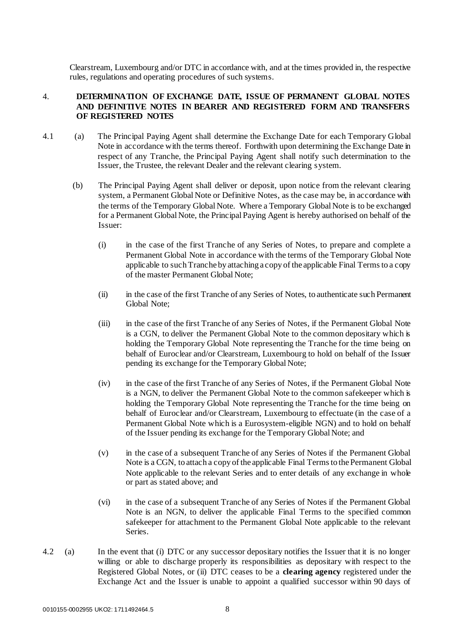Clearstream, Luxembourg and/or DTC in accordance with, and at the times provided in, the respective rules, regulations and operating procedures of such systems.

## <span id="page-11-0"></span>4. **DETERMINATION OF EXCHANGE DATE, ISSUE OF PERMANENT GLOBAL NOTES AND DEFINITIVE NOTES IN BEARER AND REGISTERED FORM AND TRANSFERS OF REGISTERED NOTES**

- 4.1 (a) The Principal Paying Agent shall determine the Exchange Date for each Temporary Global Note in accordance with the terms thereof. Forthwith upon determining the Exchange Date in respect of any Tranche, the Principal Paying Agent shall notify such determination to the Issuer, the Trustee, the relevant Dealer and the relevant clearing system.
	- (b) The Principal Paying Agent shall deliver or deposit, upon notice from the relevant clearing system, a Permanent Global Note or Definitive Notes, as the case may be, in accordance with the terms of the Temporary Global Note. Where a Temporary Global Note is to be exchanged for a Permanent Global Note, the Principal Paying Agent is hereby authorised on behalf of the Issuer:
		- (i) in the case of the first Tranche of any Series of Notes, to prepare and complete a Permanent Global Note in accordance with the terms of the Temporary Global Note applicable to such Tranche by attaching a copy of the applicable Final Terms to a copy of the master Permanent Global Note;
		- (ii) in the case of the first Tranche of any Series of Notes, to authenticate such Permanent Global Note;
		- (iii) in the case of the first Tranche of any Series of Notes, if the Permanent Global Note is a CGN, to deliver the Permanent Global Note to the common depositary which is holding the Temporary Global Note representing the Tranche for the time being on behalf of Euroclear and/or Clearstream, Luxembourg to hold on behalf of the Issuer pending its exchange for the Temporary Global Note;
		- (iv) in the case of the first Tranche of any Series of Notes, if the Permanent Global Note is a NGN, to deliver the Permanent Global Note to the common safekeeper which is holding the Temporary Global Note representing the Tranche for the time being on behalf of Euroclear and/or Clearstream, Luxembourg to effectuate (in the case of a Permanent Global Note which is a Eurosystem-eligible NGN) and to hold on behalf of the Issuer pending its exchange for the Temporary Global Note; and
		- (v) in the case of a subsequent Tranche of any Series of Notes if the Permanent Global Note is a CGN, to attach a copy of the applicable Final Terms to the Permanent Global Note applicable to the relevant Series and to enter details of any exchange in whole or part as stated above; and
		- (vi) in the case of a subsequent Tranche of any Series of Notes if the Permanent Global Note is an NGN, to deliver the applicable Final Terms to the specified common safekeeper for attachment to the Permanent Global Note applicable to the relevant Series.
- 4.2 (a) In the event that (i) DTC or any successor depositary notifies the Issuer that it is no longer willing or able to discharge properly its responsibilities as depositary with respect to the Registered Global Notes, or (ii) DTC ceases to be a **clearing agency** registered under the Exchange Act and the Issuer is unable to appoint a qualified successor within 90 days of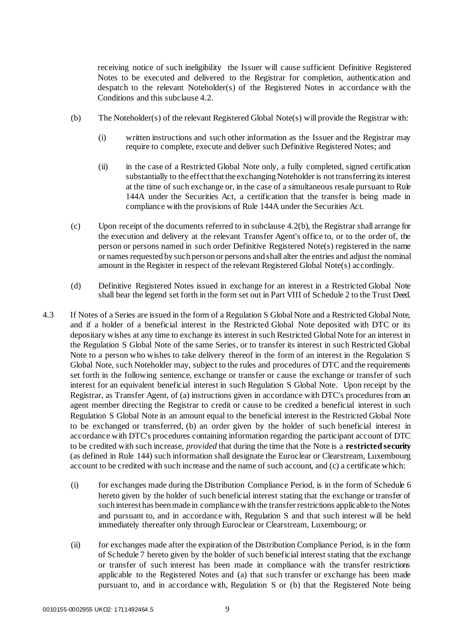receiving notice of such ineligibility the Issuer will cause sufficient Definitive Registered Notes to be executed and delivered to the Registrar for completion, authentication and despatch to the relevant Noteholder(s) of the Registered Notes in accordance with the Conditions and this subclause 4.2.

- (b) The Noteholder(s) of the relevant Registered Global Note(s) will provide the Registrar with:
	- (i) written instructions and such other information as the Issuer and the Registrar may require to complete, execute and deliver such Definitive Registered Notes; and
	- (ii) in the case of a Restricted Global Note only, a fully completed, signed certification substantially to the effect that the exchanging Noteholder is not transferring its interest at the time of such exchange or, in the case of a simultaneous resale pursuant to Rule 144A under the Securities Act, a certification that the transfer is being made in compliance with the provisions of Rule 144A under the Securities Act.
- (c) Upon receipt of the documents referred to in subclause 4.2(b), the Registrar shall arrange for the execution and delivery at the relevant Transfer Agent's office to, or to the order of, the person or persons named in such order Definitive Registered Note(s) registered in the name or names requested by such person or persons and shall alter the entries and adjust the nominal amount in the Register in respect of the relevant Registered Global Note(s) accordingly.
- (d) Definitive Registered Notes issued in exchange for an interest in a Restricted Global Note shall bear the legend set forth in the form set out in Part VIII of Schedule 2 to the Trust Deed.
- 4.3 If Notes of a Series are issued in the form of a Regulation S Global Note and a Restricted Global Note, and if a holder of a beneficial interest in the Restricted Global Note deposited with DTC or its depositary wishes at any time to exchange its interest in such Restricted Global Note for an interest in the Regulation S Global Note of the same Series, or to transfer its interest in such Restricted Global Note to a person who wishes to take delivery thereof in the form of an interest in the Regulation S Global Note, such Noteholder may, subject to the rules and procedures of DTC and the requirements set forth in the following sentence, exchange or transfer or cause the exchange or transfer of such interest for an equivalent beneficial interest in such Regulation S Global Note. Upon receipt by the Registrar, as Transfer Agent, of (a) instructions given in accordance with DTC's procedures from an agent member directing the Registrar to credit or cause to be credited a beneficial interest in such Regulation S Global Note in an amount equal to the beneficial interest in the Restricted Global Note to be exchanged or transferred, (b) an order given by the holder of such beneficial interest in accordance with DTC's procedures containing information regarding the participant account of DTC to be credited with such increase, *provided* that during the time that the Note is a **restricted security** (as defined in Rule 144) such information shall designate the Euroclear or Clearstream, Luxembourg account to be credited with such increase and the name of such account, and (c) a certificate which:
	- (i) for exchanges made during the Distribution Compliance Period, is in the form of Schedule 6 hereto given by the holder of such beneficial interest stating that the exchange or transfer of such interest has been made in compliance with the transfer restrictions applicable to the Notes and pursuant to, and in accordance with, Regulation S and that such interest will be held immediately thereafter only through Euroclear or Clearstream, Luxembourg; or
	- (ii) for exchanges made after the expiration of the Distribution Compliance Period, is in the form of Schedule 7 hereto given by the holder of such beneficial interest stating that the exchange or transfer of such interest has been made in compliance with the transfer restrictions applicable to the Registered Notes and (a) that such transfer or exchange has been made pursuant to, and in accordance with, Regulation S or (b) that the Registered Note being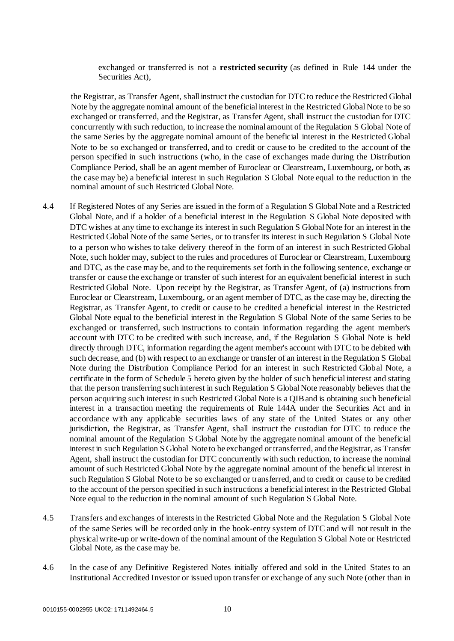exchanged or transferred is not a **restricted security** (as defined in Rule 144 under the Securities Act),

the Registrar, as Transfer Agent, shall instruct the custodian for DTC to reduce the Restricted Global Note by the aggregate nominal amount of the beneficial interest in the Restricted Global Note to be so exchanged or transferred, and the Registrar, as Transfer Agent, shall instruct the custodian for DTC concurrently with such reduction, to increase the nominal amount of the Regulation S Global Note of the same Series by the aggregate nominal amount of the beneficial interest in the Restricted Global Note to be so exchanged or transferred, and to credit or cause to be credited to the account of the person specified in such instructions (who, in the case of exchanges made during the Distribution Compliance Period, shall be an agent member of Euroclear or Clearstream, Luxembourg, or both, as the case may be) a beneficial interest in such Regulation S Global Note equal to the reduction in the nominal amount of such Restricted Global Note.

- 4.4 If Registered Notes of any Series are issued in the form of a Regulation S Global Note and a Restricted Global Note, and if a holder of a beneficial interest in the Regulation S Global Note deposited with DTC wishes at any time to exchange its interest in such Regulation S Global Note for an interest in the Restricted Global Note of the same Series, or to transfer its interest in such Regulation S Global Note to a person who wishes to take delivery thereof in the form of an interest in such Restricted Global Note, such holder may, subject to the rules and procedures of Euroclear or Clearstream, Luxembourg and DTC, as the case may be, and to the requirements set forth in the following sentence, exchange or transfer or cause the exchange or transfer of such interest for an equivalent beneficial interest in such Restricted Global Note. Upon receipt by the Registrar, as Transfer Agent, of (a) instructions from Euroclear or Clearstream, Luxembourg, or an agent member of DTC, as the case may be, directing the Registrar, as Transfer Agent, to credit or cause to be credited a beneficial interest in the Restricted Global Note equal to the beneficial interest in the Regulation S Global Note of the same Series to be exchanged or transferred, such instructions to contain information regarding the agent member's account with DTC to be credited with such increase, and, if the Regulation S Global Note is held directly through DTC, information regarding the agent member's account with DTC to be debited with such decrease, and (b) with respect to an exchange or transfer of an interest in the Regulation S Global Note during the Distribution Compliance Period for an interest in such Restricted Global Note, a certificate in the form of Schedule 5 hereto given by the holder of such beneficial interest and stating that the person transferring such interest in such Regulation S Global Note reasonably believes that the person acquiring such interest in such Restricted Global Note is a QIB and is obtaining such beneficial interest in a transaction meeting the requirements of Rule 144A under the Securities Act and in accordance with any applicable securities laws of any state of the United States or any other jurisdiction, the Registrar, as Transfer Agent, shall instruct the custodian for DTC to reduce the nominal amount of the Regulation S Global Note by the aggregate nominal amount of the beneficial interest in such Regulation S Global Note to be exchanged or transferred, and the Registrar, as Transfer Agent, shall instruct the custodian for DTC concurrently with such reduction, to increase the nominal amount of such Restricted Global Note by the aggregate nominal amount of the beneficial interest in such Regulation S Global Note to be so exchanged or transferred, and to credit or cause to be credited to the account of the person specified in such instructions a beneficial interest in the Restricted Global Note equal to the reduction in the nominal amount of such Regulation S Global Note.
- 4.5 Transfers and exchanges of interests in the Restricted Global Note and the Regulation S Global Note of the same Series will be recorded only in the book-entry system of DTC and will not result in the physical write-up or write-down of the nominal amount of the Regulation S Global Note or Restricted Global Note, as the case may be.
- 4.6 In the case of any Definitive Registered Notes initially offered and sold in the United States to an Institutional Accredited Investor or issued upon transfer or exchange of any such Note (other than in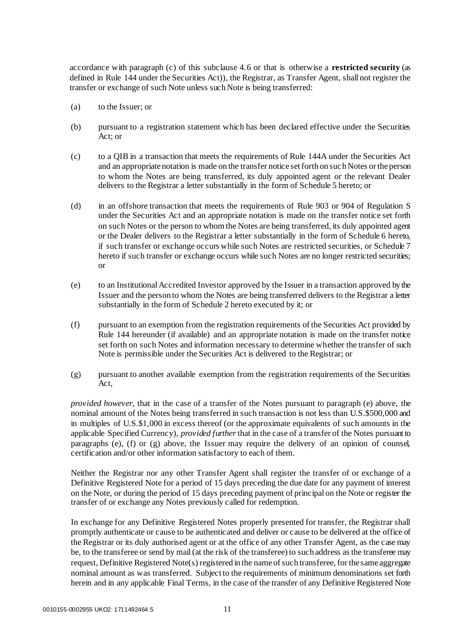accordance with paragraph (c) of this subclause 4.6 or that is otherwise a **restricted security** (as defined in Rule 144 under the Securities Act)), the Registrar, as Transfer Agent, shall not register the transfer or exchange of such Note unless such Note is being transferred:

- (a) to the Issuer; or
- (b) pursuant to a registration statement which has been declared effective under the Securities Act; or
- (c) to a QIB in a transaction that meets the requirements of Rule 144A under the Securities Act and an appropriate notation is made on the transfer notice set forth on such Notes or the person to whom the Notes are being transferred, its duly appointed agent or the relevant Dealer delivers to the Registrar a letter substantially in the form of Schedule 5 hereto; or
- (d) in an offshore transaction that meets the requirements of Rule 903 or 904 of Regulation S under the Securities Act and an appropriate notation is made on the transfer notice set forth on such Notes or the person to whom the Notes are being transferred, its duly appointed agent or the Dealer delivers to the Registrar a letter substantially in the form of Schedule 6 hereto, if such transfer or exchange occurs while such Notes are restricted securities, or Schedule 7 hereto if such transfer or exchange occurs while such Notes are no longer restricted securities; or
- (e) to an Institutional Accredited Investor approved by the Issuer in a transaction approved by the Issuer and the person to whom the Notes are being transferred delivers to the Registrar a letter substantially in the form of Schedule 2 hereto executed by it; or
- (f) pursuant to an exemption from the registration requirements of the Securities Act provided by Rule 144 hereunder (if available) and an appropriate notation is made on the transfer notice set forth on such Notes and information necessary to determine whether the transfer of such Note is permissible under the Securities Act is delivered to the Registrar; or
- (g) pursuant to another available exemption from the registration requirements of the Securities Act,

*provided however*, that in the case of a transfer of the Notes pursuant to paragraph (e) above, the nominal amount of the Notes being transferred in such transaction is not less than U.S.\$500,000 and in multiples of U.S.\$1,000 in excess thereof (or the approximate equivalents of such amounts in the applicable Specified Currency), *provided further* that in the case of a transfer of the Notes pursuant to paragraphs (e), (f) or (g) above, the Issuer may require the delivery of an opinion of counsel, certification and/or other information satisfactory to each of them.

Neither the Registrar nor any other Transfer Agent shall register the transfer of or exchange of a Definitive Registered Note for a period of 15 days preceding the due date for any payment of interest on the Note, or during the period of 15 days preceding payment of principal on the Note or register the transfer of or exchange any Notes previously called for redemption.

In exchange for any Definitive Registered Notes properly presented for transfer, the Registrar shall promptly authenticate or cause to be authenticated and deliver or cause to be delivered at the office of the Registrar or its duly authorised agent or at the office of any other Transfer Agent, as the case may be, to the transferee or send by mail (at the risk of the transferee) to such address as the transferee may request, Definitive Registered Note(s) registered in the name of such transferee, for the same aggregate nominal amount as was transferred. Subject to the requirements of minimum denominations set forth herein and in any applicable Final Terms, in the case of the transfer of any Definitive Registered Note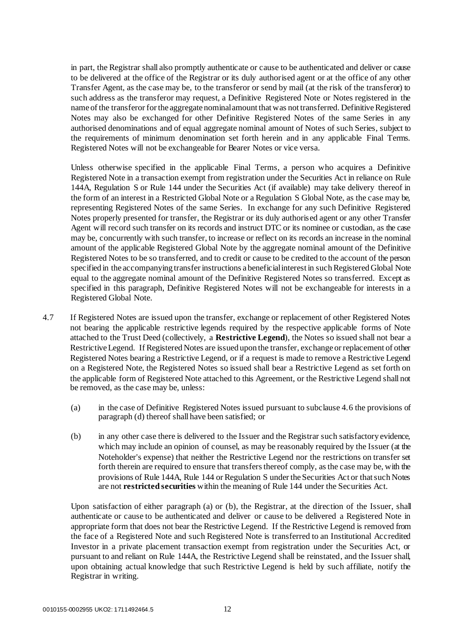in part, the Registrar shall also promptly authenticate or cause to be authenticated and deliver or cause to be delivered at the office of the Registrar or its duly authorised agent or at the office of any other Transfer Agent, as the case may be, to the transferor or send by mail (at the risk of the transferor) to such address as the transferor may request, a Definitive Registered Note or Notes registered in the name of the transferor for the aggregate nominal amount that was not transferred. Definitive Registered Notes may also be exchanged for other Definitive Registered Notes of the same Series in any authorised denominations and of equal aggregate nominal amount of Notes of such Series, subject to the requirements of minimum denomination set forth herein and in any applicable Final Terms. Registered Notes will not be exchangeable for Bearer Notes or vice versa.

Unless otherwise specified in the applicable Final Terms, a person who acquires a Definitive Registered Note in a transaction exempt from registration under the Securities Act in reliance on Rule 144A, Regulation S or Rule 144 under the Securities Act (if available) may take delivery thereof in the form of an interest in a Restricted Global Note or a Regulation S Global Note, as the case may be, representing Registered Notes of the same Series. In exchange for any such Definitive Registered Notes properly presented for transfer, the Registrar or its duly authorised agent or any other Transfer Agent will record such transfer on its records and instruct DTC or its nominee or custodian, as the case may be, concurrently with such transfer, to increase or reflect on its records an increase in the nominal amount of the applicable Registered Global Note by the aggregate nominal amount of the Definitive Registered Notes to be so transferred, and to credit or cause to be credited to the account of the person specified in the accompanying transfer instructions a beneficial interest in such Registered Global Note equal to the aggregate nominal amount of the Definitive Registered Notes so transferred. Except as specified in this paragraph, Definitive Registered Notes will not be exchangeable for interests in a Registered Global Note.

- 4.7 If Registered Notes are issued upon the transfer, exchange or replacement of other Registered Notes not bearing the applicable restrictive legends required by the respective applicable forms of Note attached to the Trust Deed (collectively, a **Restrictive Legend**), the Notes so issued shall not bear a Restrictive Legend. If Registered Notes are issued upon the transfer, exchange or replacement of other Registered Notes bearing a Restrictive Legend, or if a request is made to remove a Restrictive Legend on a Registered Note, the Registered Notes so issued shall bear a Restrictive Legend as set forth on the applicable form of Registered Note attached to this Agreement, or the Restrictive Legend shall not be removed, as the case may be, unless:
	- (a) in the case of Definitive Registered Notes issued pursuant to subclause 4.6 the provisions of paragraph (d) thereof shall have been satisfied; or
	- (b) in any other case there is delivered to the Issuer and the Registrar such satisfactory evidence, which may include an opinion of counsel, as may be reasonably required by the Issuer (at the Noteholder's expense) that neither the Restrictive Legend nor the restrictions on transfer set forth therein are required to ensure that transfers thereof comply, as the case may be, with the provisions of Rule 144A, Rule 144 or Regulation S under the Securities Act or that such Notes are not **restricted securities** within the meaning of Rule 144 under the Securities Act.

Upon satisfaction of either paragraph (a) or (b), the Registrar, at the direction of the Issuer, shall authenticate or cause to be authenticated and deliver or cause to be delivered a Registered Note in appropriate form that does not bear the Restrictive Legend. If the Restrictive Legend is removed from the face of a Registered Note and such Registered Note is transferred to an Institutional Accredited Investor in a private placement transaction exempt from registration under the Securities Act, or pursuant to and reliant on Rule 144A, the Restrictive Legend shall be reinstated, and the Issuer shall, upon obtaining actual knowledge that such Restrictive Legend is held by such affiliate, notify the Registrar in writing.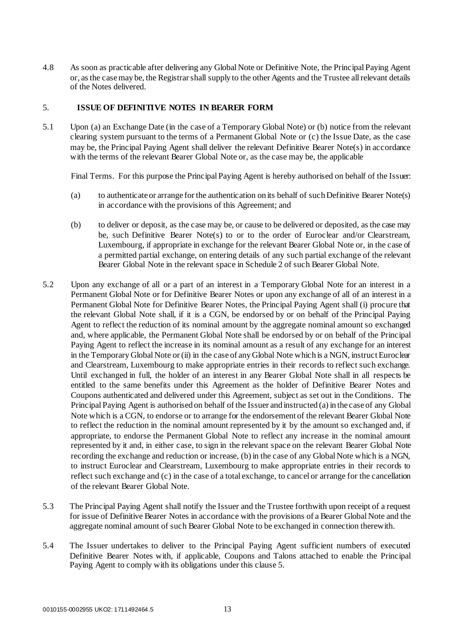4.8 As soon as practicable after delivering any Global Note or Definitive Note, the Principal Paying Agent or, as the case may be, the Registrar shall supply to the other Agents and the Trustee all relevant details of the Notes delivered.

## <span id="page-16-0"></span>5. **ISSUE OF DEFINITIVE NOTES IN BEARER FORM**

5.1 Upon (a) an Exchange Date (in the case of a Temporary Global Note) or (b) notice from the relevant clearing system pursuant to the terms of a Permanent Global Note or (c) the Issue Date, as the case may be, the Principal Paying Agent shall deliver the relevant Definitive Bearer Note(s) in accordance with the terms of the relevant Bearer Global Note or, as the case may be, the applicable

Final Terms. For this purpose the Principal Paying Agent is hereby authorised on behalf of the Issuer:

- (a) to authenticate or arrange for the authentication on its behalf of such Definitive Bearer Note(s) in accordance with the provisions of this Agreement; and
- (b) to deliver or deposit, as the case may be, or cause to be delivered or deposited, as the case may be, such Definitive Bearer Note(s) to or to the order of Euroclear and/or Clearstream, Luxembourg, if appropriate in exchange for the relevant Bearer Global Note or, in the case of a permitted partial exchange, on entering details of any such partial exchange of the relevant Bearer Global Note in the relevant space in Schedule 2 of such Bearer Global Note.
- 5.2 Upon any exchange of all or a part of an interest in a Temporary Global Note for an interest in a Permanent Global Note or for Definitive Bearer Notes or upon any exchange of all of an interest in a Permanent Global Note for Definitive Bearer Notes, the Principal Paying Agent shall (i) procure that the relevant Global Note shall, if it is a CGN, be endorsed by or on behalf of the Principal Paying Agent to reflect the reduction of its nominal amount by the aggregate nominal amount so exchanged and, where applicable, the Permanent Global Note shall be endorsed by or on behalf of the Principal Paying Agent to reflect the increase in its nominal amount as a result of any exchange for an interest in the Temporary Global Note or (ii) in the case of any Global Note which is a NGN, instruct Euroclear and Clearstream, Luxembourg to make appropriate entries in their records to reflect such exchange. Until exchanged in full, the holder of an interest in any Bearer Global Note shall in all respects be entitled to the same benefits under this Agreement as the holder of Definitive Bearer Notes and Coupons authenticated and delivered under this Agreement, subject as set out in the Conditions. The Principal Paying Agent is authorised on behalf of the Issuer and instructed (a) in the case of any Global Note which is a CGN, to endorse or to arrange for the endorsement of the relevant Bearer Global Note to reflect the reduction in the nominal amount represented by it by the amount so exchanged and, if appropriate, to endorse the Permanent Global Note to reflect any increase in the nominal amount represented by it and, in either case, to sign in the relevant space on the relevant Bearer Global Note recording the exchange and reduction or increase, (b) in the case of any Global Note which is a NGN, to instruct Euroclear and Clearstream, Luxembourg to make appropriate entries in their records to reflect such exchange and (c) in the case of a total exchange, to cancel or arrange for the cancellation of the relevant Bearer Global Note.
- 5.3 The Principal Paying Agent shall notify the Issuer and the Trustee forthwith upon receipt of a request for issue of Definitive Bearer Notes in accordance with the provisions of a Bearer Global Note and the aggregate nominal amount of such Bearer Global Note to be exchanged in connection therewith.
- 5.4 The Issuer undertakes to deliver to the Principal Paying Agent sufficient numbers of executed Definitive Bearer Notes with, if applicable, Coupons and Talons attached to enable the Principal Paying Agent to comply with its obligations under this clause 5.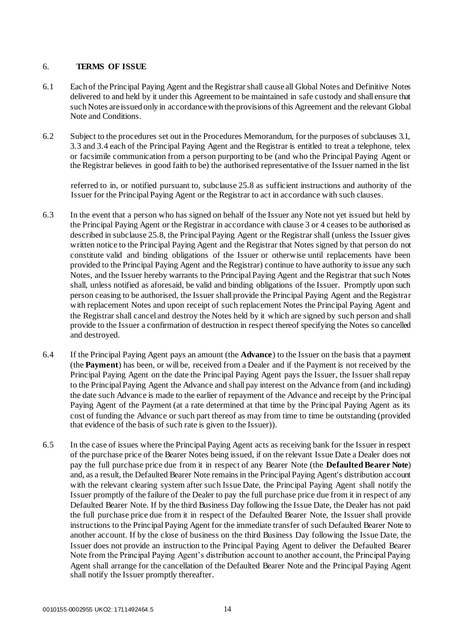## <span id="page-17-0"></span>6. **TERMS OF ISSUE**

- 6.1 Each of the Principal Paying Agent and the Registrar shall cause all Global Notes and Definitive Notes delivered to and held by it under this Agreement to be maintained in safe custody and shall ensure that such Notes are issued only in accordance with the provisions of this Agreement and the relevant Global Note and Conditions.
- 6.2 Subject to the procedures set out in the Procedures Memorandum, for the purposes of subclauses 3.1, 3.3 and 3.4 each of the Principal Paying Agent and the Registrar is entitled to treat a telephone, telex or facsimile communication from a person purporting to be (and who the Principal Paying Agent or the Registrar believes in good faith to be) the authorised representative of the Issuer named in the list

referred to in, or notified pursuant to, subclause 25.8 as sufficient instructions and authority of the Issuer for the Principal Paying Agent or the Registrar to act in accordance with such clauses.

- 6.3 In the event that a person who has signed on behalf of the Issuer any Note not yet issued but held by the Principal Paying Agent or the Registrar in accordance with clause 3 or 4 ceases to be authorised as described in subclause 25.8, the Principal Paying Agent or the Registrar shall (unless the Issuer gives written notice to the Principal Paying Agent and the Registrar that Notes signed by that person do not constitute valid and binding obligations of the Issuer or otherwise until replacements have been provided to the Principal Paying Agent and the Registrar) continue to have authority to issue any such Notes, and the Issuer hereby warrants to the Principal Paying Agent and the Registrar that such Notes shall, unless notified as aforesaid, be valid and binding obligations of the Issuer. Promptly upon such person ceasing to be authorised, the Issuer shall provide the Principal Paying Agent and the Registrar with replacement Notes and upon receipt of such replacement Notes the Principal Paying Agent and the Registrar shall cancel and destroy the Notes held by it which are signed by such person and shall provide to the Issuer a confirmation of destruction in respect thereof specifying the Notes so cancelled and destroyed.
- 6.4 If the Principal Paying Agent pays an amount (the **Advance**) to the Issuer on the basis that a payment (the **Payment**) has been, or will be, received from a Dealer and if the Payment is not received by the Principal Paying Agent on the date the Principal Paying Agent pays the Issuer, the Issuer shall repay to the Principal Paying Agent the Advance and shall pay interest on the Advance from (and including) the date such Advance is made to the earlier of repayment of the Advance and receipt by the Principal Paying Agent of the Payment (at a rate determined at that time by the Principal Paying Agent as its cost of funding the Advance or such part thereof as may from time to time be outstanding (provided that evidence of the basis of such rate is given to the Issuer)).
- 6.5 In the case of issues where the Principal Paying Agent acts as receiving bank for the Issuer in respect of the purchase price of the Bearer Notes being issued, if on the relevant Issue Date a Dealer does not pay the full purchase price due from it in respect of any Bearer Note (the **Defaulted Bearer Note**) and, as a result, the Defaulted Bearer Note remains in the Principal Paying Agent's distribution account with the relevant clearing system after such Issue Date, the Principal Paying Agent shall notify the Issuer promptly of the failure of the Dealer to pay the full purchase price due from it in respect of any Defaulted Bearer Note. If by the third Business Day following the Issue Date, the Dealer has not paid the full purchase price due from it in respect of the Defaulted Bearer Note, the Issuer shall provide instructions to the Principal Paying Agent for the immediate transfer of such Defaulted Bearer Note to another account. If by the close of business on the third Business Day following the Issue Date, the Issuer does not provide an instruction to the Principal Paying Agent to deliver the Defaulted Bearer Note from the Principal Paying Agent's distribution account to another account, the Principal Paying Agent shall arrange for the cancellation of the Defaulted Bearer Note and the Principal Paying Agent shall notify the Issuer promptly thereafter.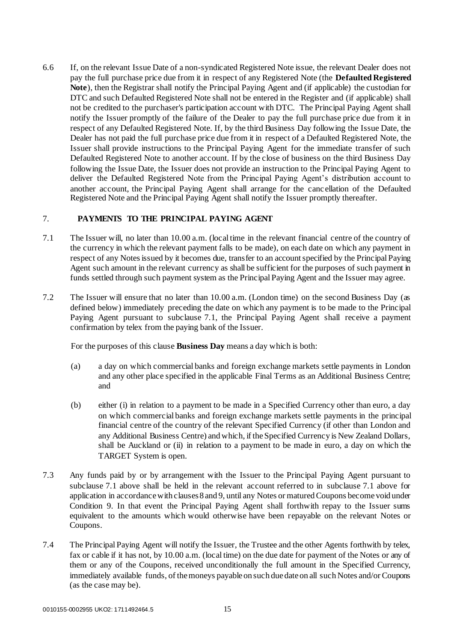6.6 If, on the relevant Issue Date of a non-syndicated Registered Note issue, the relevant Dealer does not pay the full purchase price due from it in respect of any Registered Note (the **Defaulted Registered Note**), then the Registrar shall notify the Principal Paying Agent and (if applicable) the custodian for DTC and such Defaulted Registered Note shall not be entered in the Register and (if applicable) shall not be credited to the purchaser's participation account with DTC. The Principal Paying Agent shall notify the Issuer promptly of the failure of the Dealer to pay the full purchase price due from it in respect of any Defaulted Registered Note. If, by the third Business Day following the Issue Date, the Dealer has not paid the full purchase price due from it in respect of a Defaulted Registered Note, the Issuer shall provide instructions to the Principal Paying Agent for the immediate transfer of such Defaulted Registered Note to another account. If by the close of business on the third Business Day following the Issue Date, the Issuer does not provide an instruction to the Principal Paying Agent to deliver the Defaulted Registered Note from the Principal Paying Agent's distribution account to another account, the Principal Paying Agent shall arrange for the canc ellation of the Defaulted Registered Note and the Principal Paying Agent shall notify the Issuer promptly thereafter.

## <span id="page-18-0"></span>7. **PAYMENTS TO THE PRINCIPAL PAYING AGENT**

- 7.1 The Issuer will, no later than 10.00 a.m. (local time in the relevant financial centre of the country of the currency in which the relevant payment falls to be made), on each date on which any payment in respect of any Notes issued by it becomes due, transfer to an account specified by the Principal Paying Agent such amount in the relevant currency as shall be sufficient for the purposes of such payment in funds settled through such payment system as the Principal Paying Agent and the Issuer may agree.
- 7.2 The Issuer will ensure that no later than 10.00 a.m. (London time) on the second Business Day (as defined below) immediately preceding the date on which any payment is to be made to the Principal Paying Agent pursuant to subclause 7.1, the Principal Paying Agent shall receive a payment confirmation by telex from the paying bank of the Issuer.

For the purposes of this clause **Business Day** means a day which is both:

- (a) a day on which commercial banks and foreign exchange markets settle payments in London and any other place specified in the applicable Final Terms as an Additional Business Centre; and
- (b) either (i) in relation to a payment to be made in a Specified Currency other than euro, a day on which commercial banks and foreign exchange markets settle payments in the principal financial centre of the country of the relevant Specified Currency (if other than London and any Additional Business Centre) and which, if the Specified Currency is New Zealand Dollars, shall be Auckland or (ii) in relation to a payment to be made in euro, a day on which the TARGET System is open.
- 7.3 Any funds paid by or by arrangement with the Issuer to the Principal Paying Agent pursuant to subclause 7.1 above shall be held in the relevant account referred to in subclause 7.1 above for application in accordance with clauses 8 and 9, until any Notes or matured Coupons become void under Condition 9. In that event the Principal Paying Agent shall forthwith repay to the Issuer sums equivalent to the amounts which would otherwise have been repayable on the relevant Notes or Coupons.
- 7.4 The Principal Paying Agent will notify the Issuer, the Trustee and the other Agents forthwith by telex, fax or cable if it has not, by 10.00 a.m. (local time) on the due date for payment of the Notes or any of them or any of the Coupons, received unconditionally the full amount in the Specified Currency, immediately available funds, of the moneys payable on such due date on all such Notes and/or Coupons (as the case may be).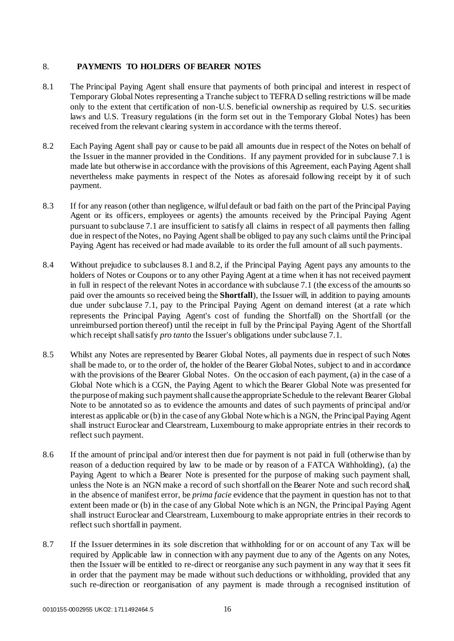## <span id="page-19-0"></span>8. **PAYMENTS TO HOLDERS OF BEARER NOTES**

- 8.1 The Principal Paying Agent shall ensure that payments of both principal and interest in respect of Temporary Global Notes representing a Tranche subject to TEFRA D selling restrictions will be made only to the extent that certification of non-U.S. beneficial ownership as required by U.S. securities laws and U.S. Treasury regulations (in the form set out in the Temporary Global Notes) has been received from the relevant clearing system in accordance with the terms thereof.
- 8.2 Each Paying Agent shall pay or cause to be paid all amounts due in respect of the Notes on behalf of the Issuer in the manner provided in the Conditions. If any payment provided for in subclause 7.1 is made late but otherwise in accordance with the provisions of this Agreement, each Paying Agent shall nevertheless make payments in respect of the Notes as aforesaid following receipt by it of such payment.
- 8.3 If for any reason (other than negligence, wilful default or bad faith on the part of the Principal Paying Agent or its officers, employees or agents) the amounts received by the Principal Paying Agent pursuant to subclause 7.1 are insufficient to satisfy all claims in respect of all payments then falling due in respect of the Notes, no Paying Agent shall be obliged to pay any such claims until the Principal Paying Agent has received or had made available to its order the full amount of all such payments.
- 8.4 Without prejudice to subclauses 8.1 and 8.2, if the Principal Paying Agent pays any amounts to the holders of Notes or Coupons or to any other Paying Agent at a time when it has not received payment in full in respect of the relevant Notes in accordance with subclause 7.1 (the excess of the amounts so paid over the amounts so received being the **Shortfall**), the Issuer will, in addition to paying amounts due under subclause 7.1, pay to the Principal Paying Agent on demand interest (at a rate which represents the Principal Paying Agent's cost of funding the Shortfall) on the Shortfall (or the unreimbursed portion thereof) until the receipt in full by the Principal Paying Agent of the Shortfall which receipt shall satisfy *pro tanto* the Issuer's obligations under subclause 7.1.
- 8.5 Whilst any Notes are represented by Bearer Global Notes, all payments due in respect of such Notes shall be made to, or to the order of, the holder of the Bearer Global Notes, subject to and in accordance with the provisions of the Bearer Global Notes. On the occasion of each payment, (a) in the case of a Global Note which is a CGN, the Paying Agent to which the Bearer Global Note was presented for the purpose of making such payment shall cause the appropriate Schedule to the relevant Bearer Global Note to be annotated so as to evidence the amounts and dates of such payments of principal and/or interest as applicable or (b) in the case of any Global Note which is a NGN, the Principal Paying Agent shall instruct Euroclear and Clearstream, Luxembourg to make appropriate entries in their records to reflect such payment.
- 8.6 If the amount of principal and/or interest then due for payment is not paid in full (otherwise than by reason of a deduction required by law to be made or by reason of a FATCA Withholding), (a) the Paying Agent to which a Bearer Note is presented for the purpose of making such payment shall, unless the Note is an NGN make a record of such shortfall on the Bearer Note and such record shall, in the absence of manifest error, be *prima facie* evidence that the payment in question has not to that extent been made or (b) in the case of any Global Note which is an NGN, the Principal Paying Agent shall instruct Euroclear and Clearstream, Luxembourg to make appropriate entries in their records to reflect such shortfall in payment.
- 8.7 If the Issuer determines in its sole discretion that withholding for or on account of any Tax will be required by Applicable law in connection with any payment due to any of the Agents on any Notes, then the Issuer will be entitled to re-direct or reorganise any such payment in any way that it sees fit in order that the payment may be made without such deductions or withholding, provided that any such re-direction or reorganisation of any payment is made through a recognised institution of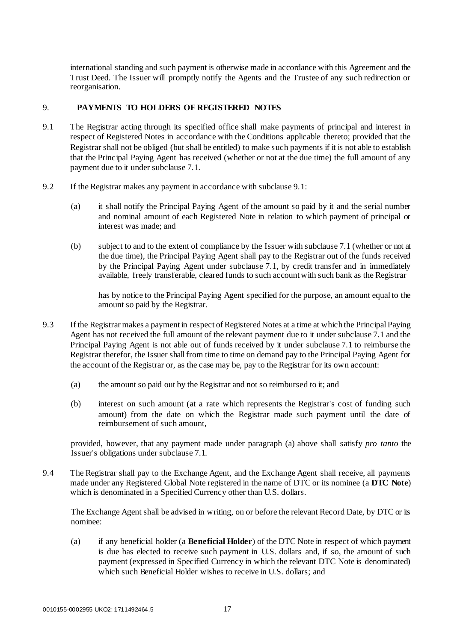international standing and such payment is otherwise made in accordance with this Agreement and the Trust Deed. The Issuer will promptly notify the Agents and the Trustee of any such redirection or reorganisation.

## <span id="page-20-0"></span>9. **PAYMENTS TO HOLDERS OF REGISTERED NOTES**

- 9.1 The Registrar acting through its specified office shall make payments of principal and interest in respect of Registered Notes in accordance with the Conditions applicable thereto; provided that the Registrar shall not be obliged (but shall be entitled) to make such payments if it is not able to establish that the Principal Paying Agent has received (whether or not at the due time) the full amount of any payment due to it under subclause 7.1.
- 9.2 If the Registrar makes any payment in accordance with subclause 9.1:
	- (a) it shall notify the Principal Paying Agent of the amount so paid by it and the serial number and nominal amount of each Registered Note in relation to which payment of principal or interest was made; and
	- (b) subject to and to the extent of compliance by the Issuer with subclause 7.1 (whether or not at the due time), the Principal Paying Agent shall pay to the Registrar out of the funds received by the Principal Paying Agent under subclause 7.1, by credit transfer and in immediately available, freely transferable, cleared funds to such account with such bank as the Registrar

has by notice to the Principal Paying Agent specified for the purpose, an amount equal to the amount so paid by the Registrar.

- 9.3 If the Registrar makes a payment in respect of Registered Notes at a time at which the Principal Paying Agent has not received the full amount of the relevant payment due to it under subclause 7.1 and the Principal Paying Agent is not able out of funds received by it under subclause 7.1 to reimburse the Registrar therefor, the Issuer shall from time to time on demand pay to the Principal Paying Agent for the account of the Registrar or, as the case may be, pay to the Registrar for its own account:
	- (a) the amount so paid out by the Registrar and not so reimbursed to it; and
	- (b) interest on such amount (at a rate which represents the Registrar's cost of funding such amount) from the date on which the Registrar made such payment until the date of reimbursement of such amount,

provided, however, that any payment made under paragraph (a) above shall satisfy *pro tanto* the Issuer's obligations under subclause 7.1.

9.4 The Registrar shall pay to the Exchange Agent, and the Exchange Agent shall receive, all payments made under any Registered Global Note registered in the name of DTC or its nominee (a **DTC Note**) which is denominated in a Specified Currency other than U.S. dollars.

The Exchange Agent shall be advised in writing, on or before the relevant Record Date, by DTC or its nominee:

(a) if any beneficial holder (a **Beneficial Holder**) of the DTC Note in respect of which payment is due has elected to receive such payment in U.S. dollars and, if so, the amount of such payment (expressed in Specified Currency in which the relevant DTC Note is denominated) which such Beneficial Holder wishes to receive in U.S. dollars; and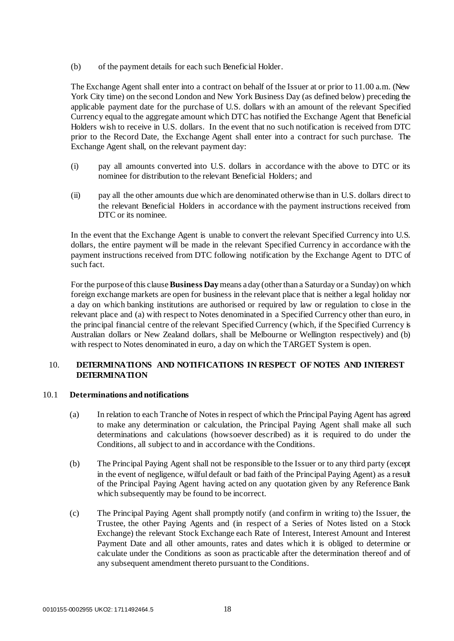(b) of the payment details for each such Beneficial Holder.

The Exchange Agent shall enter into a contract on behalf of the Issuer at or prior to 11.00 a.m. (New York City time) on the second London and New York Business Day (as defined below) preceding the applicable payment date for the purchase of U.S. dollars with an amount of the relevant Specified Currency equal to the aggregate amount which DTC has notified the Exchange Agent that Beneficial Holders wish to receive in U.S. dollars. In the event that no such notification is received from DTC prior to the Record Date, the Exchange Agent shall enter into a contract for such purchase. The Exchange Agent shall, on the relevant payment day:

- (i) pay all amounts converted into U.S. dollars in accordance with the above to DTC or its nominee for distribution to the relevant Beneficial Holders; and
- (ii) pay all the other amounts due which are denominated otherwise than in U.S. dollars direct to the relevant Beneficial Holders in accordance with the payment instructions received from DTC or its nominee.

In the event that the Exchange Agent is unable to convert the relevant Specified Currency into U.S. dollars, the entire payment will be made in the relevant Specified Currency in accordance with the payment instructions received from DTC following notification by the Exchange Agent to DTC of such fact.

For the purpose of this clause **Business Day** means a day (other than a Saturday or a Sunday) on which foreign exchange markets are open for business in the relevant place that is neither a legal holiday nor a day on which banking institutions are authorised or required by law or regulation to close in the relevant place and (a) with respect to Notes denominated in a Specified Currency other than euro, in the principal financial centre of the relevant Specified Currency (which, if the Specified Currency is Australian dollars or New Zealand dollars, shall be Melbourne or Wellington respectively) and (b) with respect to Notes denominated in euro, a day on which the TARGET System is open.

## <span id="page-21-0"></span>10. **DETERMINATIONS AND NOTIFICATIONS IN RESPECT OF NOTES AND INTEREST DETERMINATION**

## 10.1 **Determinations and notifications**

- (a) In relation to each Tranche of Notes in respect of which the Principal Paying Agent has agreed to make any determination or calculation, the Principal Paying Agent shall make all such determinations and calculations (howsoever described) as it is required to do under the Conditions, all subject to and in accordance with the Conditions.
- (b) The Principal Paying Agent shall not be responsible to the Issuer or to any third party (except in the event of negligence, wilful default or bad faith of the Principal Paying Agent) as a result of the Principal Paying Agent having acted on any quotation given by any Reference Bank which subsequently may be found to be incorrect.
- (c) The Principal Paying Agent shall promptly notify (and confirm in writing to) the Issuer, the Trustee, the other Paying Agents and (in respect of a Series of Notes listed on a Stock Exchange) the relevant Stock Exchange each Rate of Interest, Interest Amount and Interest Payment Date and all other amounts, rates and dates which it is obliged to determine or calculate under the Conditions as soon as practicable after the determination thereof and of any subsequent amendment thereto pursuant to the Conditions.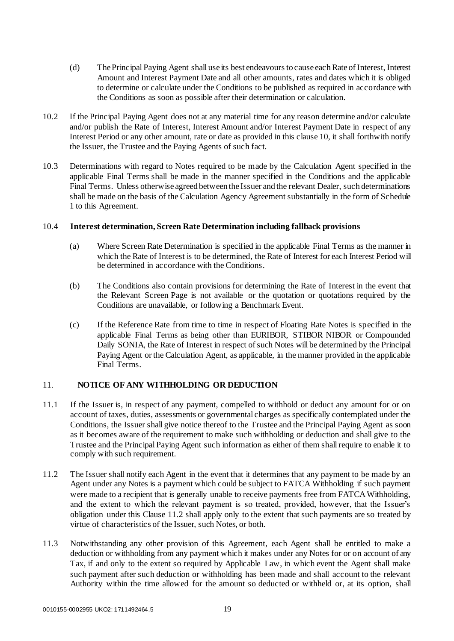- (d) The Principal Paying Agent shall use its best endeavours to cause each Rate of Interest, Interest Amount and Interest Payment Date and all other amounts, rates and dates which it is obliged to determine or calculate under the Conditions to be published as required in accordance with the Conditions as soon as possible after their determination or calculation.
- 10.2 If the Principal Paying Agent does not at any material time for any reason determine and/or calculate and/or publish the Rate of Interest, Interest Amount and/or Interest Payment Date in respect of any Interest Period or any other amount, rate or date as provided in this clause 10, it shall forthwith notify the Issuer, the Trustee and the Paying Agents of such fact.
- 10.3 Determinations with regard to Notes required to be made by the Calculation Agent specified in the applicable Final Terms shall be made in the manner specified in the Conditions and the applicable Final Terms. Unless otherwise agreed between the Issuer and the relevant Dealer, such determinations shall be made on the basis of the Calculation Agency Agreement substantially in the form of Schedule 1 to this Agreement.

## 10.4 **Interest determination, Screen Rate Determination including fallback provisions**

- (a) Where Screen Rate Determination is specified in the applicable Final Terms as the manner in which the Rate of Interest is to be determined, the Rate of Interest for each Interest Period will be determined in accordance with the Conditions.
- (b) The Conditions also contain provisions for determining the Rate of Interest in the event that the Relevant Screen Page is not available or the quotation or quotations required by the Conditions are unavailable, or following a Benchmark Event.
- (c) If the Reference Rate from time to time in respect of Floating Rate Notes is specified in the applicable Final Terms as being other than EURIBOR, STIBOR NIBOR or Compounded Daily SONIA, the Rate of Interest in respect of such Notes will be determined by the Principal Paying Agent or the Calculation Agent, as applicable, in the manner provided in the applicable Final Terms.

## <span id="page-22-0"></span>11. **NOTICE OF ANY WITHHOLDING OR DEDUCTION**

- 11.1 If the Issuer is, in respect of any payment, compelled to withhold or deduct any amount for or on account of taxes, duties, assessments or governmental charges as specifically contemplated under the Conditions, the Issuer shall give notice thereof to the Trustee and the Principal Paying Agent as soon as it becomes aware of the requirement to make such withholding or deduction and shall give to the Trustee and the Principal Paying Agent such information as either of them shall require to enable it to comply with such requirement.
- 11.2 The Issuer shall notify each Agent in the event that it determines that any payment to be made by an Agent under any Notes is a payment which could be subject to FATCA Withholding if such payment were made to a recipient that is generally unable to receive payments free from FATCA Withholding, and the extent to which the relevant payment is so treated, provided, however, that the Issuer's obligation under this Clause 11.2 shall apply only to the extent that such payments are so treated by virtue of characteristics of the Issuer, such Notes, or both.
- 11.3 Notwithstanding any other provision of this Agreement, each Agent shall be entitled to make a deduction or withholding from any payment which it makes under any Notes for or on account of any Tax, if and only to the extent so required by Applicable Law, in which event the Agent shall make such payment after such deduction or withholding has been made and shall account to the relevant Authority within the time allowed for the amount so deducted or withheld or, at its option, shall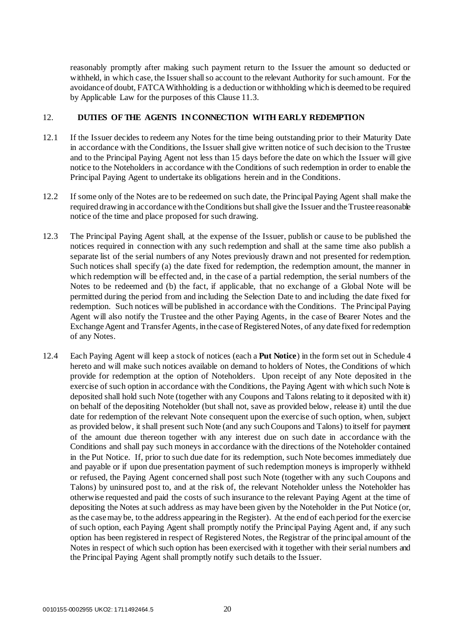reasonably promptly after making such payment return to the Issuer the amount so deducted or withheld, in which case, the Issuer shall so account to the relevant Authority for such amount. For the avoidance of doubt, FATCA Withholding is a deduction or withholding which is deemed to be required by Applicable Law for the purposes of this Clause 11.3.

## <span id="page-23-0"></span>12. **DUTIES OF THE AGENTS IN CONNECTION WITH EARLY REDEMPTION**

- 12.1 If the Issuer decides to redeem any Notes for the time being outstanding prior to their Maturity Date in accordance with the Conditions, the Issuer shall give written notice of such decision to the Trustee and to the Principal Paying Agent not less than 15 days before the date on which the Issuer will give notice to the Noteholders in accordance with the Conditions of such redemption in order to enable the Principal Paying Agent to undertake its obligations herein and in the Conditions.
- 12.2 If some only of the Notes are to be redeemed on such date, the Principal Paying Agent shall make the required drawing in accordance with the Conditions but shall give the Issuer and the Trustee reasonable notice of the time and place proposed for such drawing.
- 12.3 The Principal Paying Agent shall, at the expense of the Issuer, publish or cause to be published the notices required in connection with any such redemption and shall at the same time also publish a separate list of the serial numbers of any Notes previously drawn and not presented for redemption. Such notices shall specify (a) the date fixed for redemption, the redemption amount, the manner in which redemption will be effected and, in the case of a partial redemption, the serial numbers of the Notes to be redeemed and (b) the fact, if applicable, that no exchange of a Global Note will be permitted during the period from and including the Selection Date to and including the date fixed for redemption. Such notices will be published in accordance with the Conditions. The Principal Paying Agent will also notify the Trustee and the other Paying Agents, in the case of Bearer Notes and the Exchange Agent and Transfer Agents, in the case of Registered Notes, of any date fixed for redemption of any Notes.
- 12.4 Each Paying Agent will keep a stock of notices (each a **Put Notice**) in the form set out in Schedule 4 hereto and will make such notices available on demand to holders of Notes, the Conditions of which provide for redemption at the option of Noteholders. Upon receipt of any Note deposited in the exercise of such option in accordance with the Conditions, the Paying Agent with which such Note is deposited shall hold such Note (together with any Coupons and Talons relating to it deposited with it) on behalf of the depositing Noteholder (but shall not, save as provided below, release it) until the due date for redemption of the relevant Note consequent upon the exercise of such option, when, subject as provided below, it shall present such Note (and any such Coupons and Talons) to itself for payment of the amount due thereon together with any interest due on such date in accordance with the Conditions and shall pay such moneys in accordance with the directions of the Noteholder contained in the Put Notice. If, prior to such due date for its redemption, such Note becomes immediately due and payable or if upon due presentation payment of such redemption moneys is improperly withheld or refused, the Paying Agent concerned shall post such Note (together with any such Coupons and Talons) by uninsured post to, and at the risk of, the relevant Noteholder unless the Noteholder has otherwise requested and paid the costs of such insurance to the relevant Paying Agent at the time of depositing the Notes at such address as may have been given by the Noteholder in the Put Notice (or, as the case may be, to the address appearing in the Register). At the end of each period for the exercise of such option, each Paying Agent shall promptly notify the Principal Paying Agent and, if any such option has been registered in respect of Registered Notes, the Registrar of the principal amount of the Notes in respect of which such option has been exercised with it together with their serial numbers and the Principal Paying Agent shall promptly notify such details to the Issuer.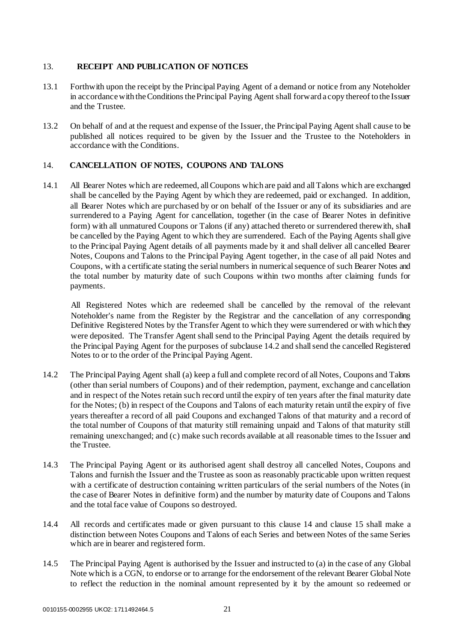## <span id="page-24-0"></span>13. **RECEIPT AND PUBLICATION OF NOTICES**

- 13.1 Forthwith upon the receipt by the Principal Paying Agent of a demand or notice from any Noteholder in accordance with the Conditions the Principal Paying Agent shall forward a copy thereof to the Issuer and the Trustee.
- 13.2 On behalf of and at the request and expense of the Issuer, the Principal Paying Agent shall cause to be published all notices required to be given by the Issuer and the Trustee to the Noteholders in accordance with the Conditions.

## <span id="page-24-1"></span>14. **CANCELLATION OF NOTES, COUPONS AND TALONS**

14.1 All Bearer Notes which are redeemed, all Coupons which are paid and all Talons which are exchanged shall be cancelled by the Paying Agent by which they are redeemed, paid or exchanged. In addition, all Bearer Notes which are purchased by or on behalf of the Issuer or any of its subsidiaries and are surrendered to a Paying Agent for cancellation, together (in the case of Bearer Notes in definitive form) with all unmatured Coupons or Talons (if any) attached thereto or surrendered therewith, shall be cancelled by the Paying Agent to which they are surrendered. Each of the Paying Agents shall give to the Principal Paying Agent details of all payments made by it and shall deliver all cancelled Bearer Notes, Coupons and Talons to the Principal Paying Agent together, in the case of all paid Notes and Coupons, with a certificate stating the serial numbers in numerical sequence of such Bearer Notes and the total number by maturity date of such Coupons within two months after claiming funds for payments.

All Registered Notes which are redeemed shall be cancelled by the removal of the relevant Noteholder's name from the Register by the Registrar and the cancellation of any corresponding Definitive Registered Notes by the Transfer Agent to which they were surrendered or with which they were deposited. The Transfer Agent shall send to the Principal Paying Agent the details required by the Principal Paying Agent for the purposes of subclause 14.2 and shall send the cancelled Registered Notes to or to the order of the Principal Paying Agent.

- 14.2 The Principal Paying Agent shall (a) keep a full and complete record of all Notes, Coupons and Talons (other than serial numbers of Coupons) and of their redemption, payment, exchange and cancellation and in respect of the Notes retain such record until the expiry of ten years after the final maturity date for the Notes; (b) in respect of the Coupons and Talons of each maturity retain until the expiry of five years thereafter a record of all paid Coupons and exchanged Talons of that maturity and a record of the total number of Coupons of that maturity still remaining unpaid and Talons of that maturity still remaining unexchanged; and (c) make such records available at all reasonable times to the Issuer and the Trustee.
- 14.3 The Principal Paying Agent or its authorised agent shall destroy all cancelled Notes, Coupons and Talons and furnish the Issuer and the Trustee as soon as reasonably practicable upon written request with a certificate of destruction containing written particulars of the serial numbers of the Notes (in the case of Bearer Notes in definitive form) and the number by maturity date of Coupons and Talons and the total face value of Coupons so destroyed.
- 14.4 All records and certificates made or given pursuant to this clause 14 and clause 15 shall make a distinction between Notes Coupons and Talons of each Series and between Notes of the same Series which are in bearer and registered form.
- 14.5 The Principal Paying Agent is authorised by the Issuer and instructed to (a) in the case of any Global Note which is a CGN, to endorse or to arrange for the endorsement of the relevant Bearer Global Note to reflect the reduction in the nominal amount represented by it by the amount so redeemed or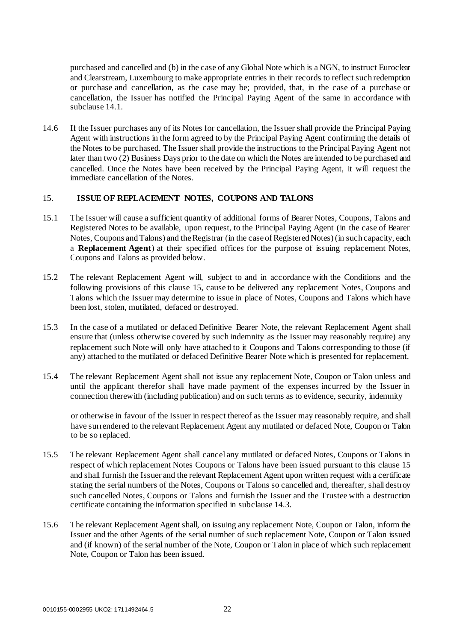purchased and cancelled and (b) in the case of any Global Note which is a NGN, to instruct Euroclear and Clearstream, Luxembourg to make appropriate entries in their records to reflect such redemption or purchase and cancellation, as the case may be; provided, that, in the case of a purchase or cancellation, the Issuer has notified the Principal Paying Agent of the same in accordance with subclause 14.1.

14.6 If the Issuer purchases any of its Notes for cancellation, the Issuer shall provide the Principal Paying Agent with instructions in the form agreed to by the Principal Paying Agent confirming the details of the Notes to be purchased. The Issuer shall provide the instructions to the Principal Paying Agent not later than two (2) Business Days prior to the date on which the Notes are intended to be purchased and cancelled. Once the Notes have been received by the Principal Paying Agent, it will request the immediate cancellation of the Notes.

## <span id="page-25-0"></span>15. **ISSUE OF REPLACEMENT NOTES, COUPONS AND TALONS**

- 15.1 The Issuer will cause a sufficient quantity of additional forms of Bearer Notes, Coupons, Talons and Registered Notes to be available, upon request, to the Principal Paying Agent (in the case of Bearer Notes, Coupons and Talons) and the Registrar (in the case of Registered Notes) (in such capacity, each a **Replacement Agent**) at their specified offices for the purpose of issuing replacement Notes, Coupons and Talons as provided below.
- 15.2 The relevant Replacement Agent will, subject to and in accordance with the Conditions and the following provisions of this clause 15, cause to be delivered any replacement Notes, Coupons and Talons which the Issuer may determine to issue in place of Notes, Coupons and Talons which have been lost, stolen, mutilated, defaced or destroyed.
- 15.3 In the case of a mutilated or defaced Definitive Bearer Note, the relevant Replacement Agent shall ensure that (unless otherwise covered by such indemnity as the Issuer may reasonably require) any replacement such Note will only have attached to it Coupons and Talons corresponding to those (if any) attached to the mutilated or defaced Definitive Bearer Note which is presented for replacement.
- 15.4 The relevant Replacement Agent shall not issue any replacement Note, Coupon or Talon unless and until the applicant therefor shall have made payment of the expenses incurred by the Issuer in connection therewith (including publication) and on such terms as to evidence, security, indemnity

or otherwise in favour of the Issuer in respect thereof as the Issuer may reasonably require, and shall have surrendered to the relevant Replacement Agent any mutilated or defaced Note, Coupon or Talon to be so replaced.

- 15.5 The relevant Replacement Agent shall cancel any mutilated or defaced Notes, Coupons or Talons in respect of which replacement Notes Coupons or Talons have been issued pursuant to this clause 15 and shall furnish the Issuer and the relevant Replacement Agent upon written request with a certificate stating the serial numbers of the Notes, Coupons or Talons so cancelled and, thereafter, shall destroy such cancelled Notes, Coupons or Talons and furnish the Issuer and the Trustee with a destruction certificate containing the information specified in subclause 14.3.
- 15.6 The relevant Replacement Agent shall, on issuing any replacement Note, Coupon or Talon, inform the Issuer and the other Agents of the serial number of such replacement Note, Coupon or Talon issued and (if known) of the serial number of the Note, Coupon or Talon in place of which such replacement Note, Coupon or Talon has been issued.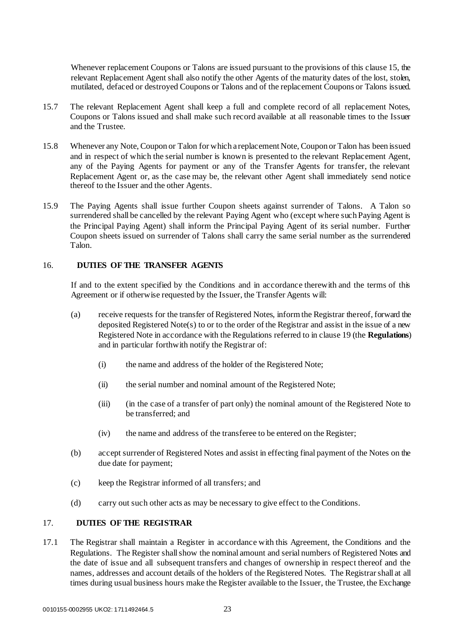Whenever replacement Coupons or Talons are issued pursuant to the provisions of this clause 15, the relevant Replacement Agent shall also notify the other Agents of the maturity dates of the lost, stolen, mutilated, defaced or destroyed Coupons or Talons and of the replacement Coupons or Talons issued.

- 15.7 The relevant Replacement Agent shall keep a full and complete record of all replacement Notes, Coupons or Talons issued and shall make such record available at all reasonable times to the Issuer and the Trustee.
- 15.8 Whenever any Note, Coupon or Talon for which a replacement Note, Coupon or Talon has been issued and in respect of which the serial number is known is presented to the relevant Replacement Agent, any of the Paying Agents for payment or any of the Transfer Agents for transfer, the relevant Replacement Agent or, as the case may be, the relevant other Agent shall immediately send notice thereof to the Issuer and the other Agents.
- 15.9 The Paying Agents shall issue further Coupon sheets against surrender of Talons. A Talon so surrendered shall be cancelled by the relevant Paying Agent who (except where such Paying Agent is the Principal Paying Agent) shall inform the Principal Paying Agent of its serial number. Further Coupon sheets issued on surrender of Talons shall carry the same serial number as the surrendered Talon.

## <span id="page-26-0"></span>16. **DUTIES OF THE TRANSFER AGENTS**

If and to the extent specified by the Conditions and in accordance therewith and the terms of this Agreement or if otherwise requested by the Issuer, the Transfer Agents will:

- (a) receive requests for the transfer of Registered Notes, inform the Registrar thereof, forward the deposited Registered Note(s) to or to the order of the Registrar and assist in the issue of a new Registered Note in accordance with the Regulations referred to in clause 19 (the **Regulations**) and in particular forthwith notify the Registrar of:
	- (i) the name and address of the holder of the Registered Note;
	- (ii) the serial number and nominal amount of the Registered Note;
	- (iii) (in the case of a transfer of part only) the nominal amount of the Registered Note to be transferred; and
	- (iv) the name and address of the transferee to be entered on the Register;
- (b) accept surrender of Registered Notes and assist in effecting final payment of the Notes on the due date for payment;
- (c) keep the Registrar informed of all transfers; and
- (d) carry out such other acts as may be necessary to give effect to the Conditions.

## <span id="page-26-1"></span>17. **DUTIES OF THE REGISTRAR**

17.1 The Registrar shall maintain a Register in accordance with this Agreement, the Conditions and the Regulations. The Register shall show the nominal amount and serial numbers of Registered Notes and the date of issue and all subsequent transfers and changes of ownership in respect thereof and the names, addresses and account details of the holders of the Registered Notes. The Registrar shall at all times during usual business hours make the Register available to the Issuer, the Trustee, the Exchange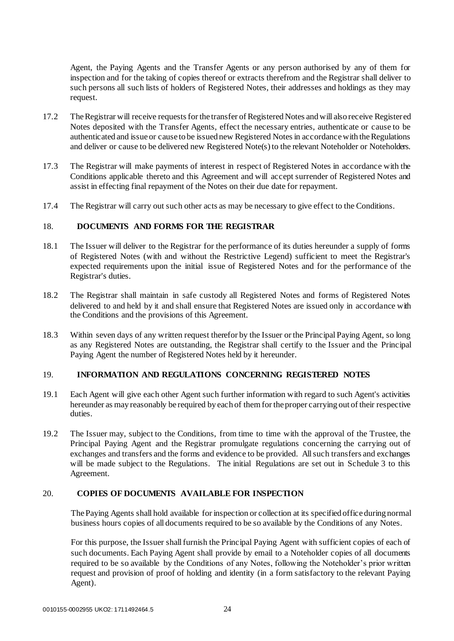Agent, the Paying Agents and the Transfer Agents or any person authorised by any of them for inspection and for the taking of copies thereof or extracts therefrom and the Registrar shall deliver to such persons all such lists of holders of Registered Notes, their addresses and holdings as they may request.

- 17.2 The Registrar will receive requests for the transfer of Registered Notes and will also receive Registered Notes deposited with the Transfer Agents, effect the necessary entries, authenticate or cause to be authenticated and issue or cause to be issued new Registered Notes in accordance with the Regulations and deliver or cause to be delivered new Registered Note(s) to the relevant Noteholder or Noteholders.
- 17.3 The Registrar will make payments of interest in respect of Registered Notes in accordance with the Conditions applicable thereto and this Agreement and will accept surrender of Registered Notes and assist in effecting final repayment of the Notes on their due date for repayment.
- 17.4 The Registrar will carry out such other acts as may be necessary to give effect to the Conditions.

## <span id="page-27-0"></span>18. **DOCUMENTS AND FORMS FOR THE REGISTRAR**

- 18.1 The Issuer will deliver to the Registrar for the performance of its duties hereunder a supply of forms of Registered Notes (with and without the Restrictive Legend) sufficient to meet the Registrar's expected requirements upon the initial issue of Registered Notes and for the performance of the Registrar's duties.
- 18.2 The Registrar shall maintain in safe custody all Registered Notes and forms of Registered Notes delivered to and held by it and shall ensure that Registered Notes are issued only in accordance with the Conditions and the provisions of this Agreement.
- 18.3 Within seven days of any written request therefor by the Issuer or the Principal Paying Agent, so long as any Registered Notes are outstanding, the Registrar shall certify to the Issuer and the Principal Paying Agent the number of Registered Notes held by it hereunder.

## <span id="page-27-1"></span>19. **INFORMATION AND REGULATIONS CONCERNING REGISTERED NOTES**

- 19.1 Each Agent will give each other Agent such further information with regard to such Agent's activities hereunder as may reasonably be required by each of them for the proper carrying out of their respective duties.
- 19.2 The Issuer may, subject to the Conditions, from time to time with the approval of the Trustee, the Principal Paying Agent and the Registrar promulgate regulations concerning the carrying out of exchanges and transfers and the forms and evidence to be provided. All such transfers and exchanges will be made subject to the Regulations. The initial Regulations are set out in Schedule 3 to this Agreement.

## <span id="page-27-2"></span>20. **COPIES OF DOCUMENTS AVAILABLE FOR INSPECTION**

The Paying Agents shall hold available for inspection or collection at its specified office during normal business hours copies of all documents required to be so available by the Conditions of any Notes.

For this purpose, the Issuer shall furnish the Principal Paying Agent with sufficient copies of each of such documents. Each Paying Agent shall provide by email to a Noteholder copies of all documents required to be so available by the Conditions of any Notes, following the Noteholder's prior written request and provision of proof of holding and identity (in a form satisfactory to the relevant Paying Agent).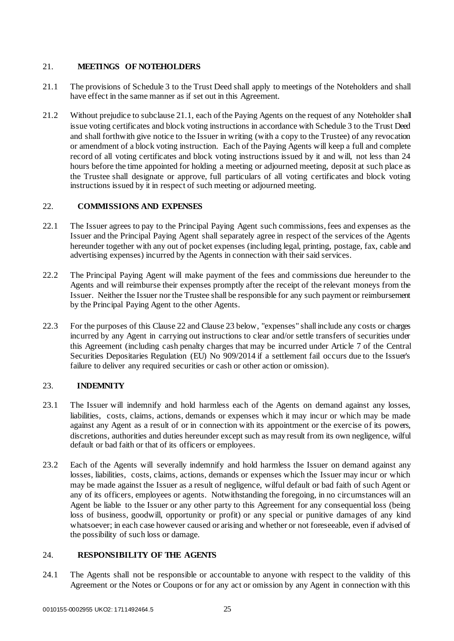## <span id="page-28-0"></span>21. **MEETINGS OF NOTEHOLDERS**

- 21.1 The provisions of Schedule 3 to the Trust Deed shall apply to meetings of the Noteholders and shall have effect in the same manner as if set out in this Agreement.
- 21.2 Without prejudice to subclause 21.1, each of the Paying Agents on the request of any Noteholder shall issue voting certificates and block voting instructions in accordance with Schedule 3 to the Trust Deed and shall forthwith give notice to the Issuer in writing (with a copy to the Trustee) of any revocation or amendment of a block voting instruction. Each of the Paying Agents will keep a full and complete record of all voting certificates and block voting instructions issued by it and will, not less than 24 hours before the time appointed for holding a meeting or adjourned meeting, deposit at such place as the Trustee shall designate or approve, full particulars of all voting certificates and block voting instructions issued by it in respect of such meeting or adjourned meeting.

## <span id="page-28-1"></span>22. **COMMISSIONS AND EXPENSES**

- 22.1 The Issuer agrees to pay to the Principal Paying Agent such commissions, fees and expenses as the Issuer and the Principal Paying Agent shall separately agree in respect of the services of the Agents hereunder together with any out of pocket expenses (including legal, printing, postage, fax, cable and advertising expenses) incurred by the Agents in connection with their said services.
- 22.2 The Principal Paying Agent will make payment of the fees and commissions due hereunder to the Agents and will reimburse their expenses promptly after the receipt of the relevant moneys from the Issuer. Neither the Issuer nor the Trustee shall be responsible for any such payment or reimbursement by the Principal Paying Agent to the other Agents.
- 22.3 For the purposes of this Clause 22 and Clause 23 below, "expenses" shall include any costs or charges incurred by any Agent in carrying out instructions to clear and/or settle transfers of securities under this Agreement (including cash penalty charges that may be incurred under Article 7 of the Central Securities Depositaries Regulation (EU) No 909/2014 if a settlement fail occurs due to the Issuer's failure to deliver any required securities or cash or other action or omission).

## <span id="page-28-2"></span>23. **INDEMNITY**

- 23.1 The Issuer will indemnify and hold harmless each of the Agents on demand against any losses, liabilities, costs, claims, actions, demands or expenses which it may incur or which may be made against any Agent as a result of or in connection with its appointment or the exercise of its powers, discretions, authorities and duties hereunder except such as may result from its own negligence, wilful default or bad faith or that of its officers or employees.
- 23.2 Each of the Agents will severally indemnify and hold harmless the Issuer on demand against any losses, liabilities, costs, claims, actions, demands or expenses which the Issuer may incur or which may be made against the Issuer as a result of negligence, wilful default or bad faith of such Agent or any of its officers, employees or agents. Notwithstanding the foregoing, in no circumstances will an Agent be liable to the Issuer or any other party to this Agreement for any consequential loss (being loss of business, goodwill, opportunity or profit) or any special or punitive damages of any kind whatsoever; in each case however caused or arising and whether or not foreseeable, even if advised of the possibility of such loss or damage.

## <span id="page-28-3"></span>24. **RESPONSIBILITY OF THE AGENTS**

24.1 The Agents shall not be responsible or accountable to anyone with respect to the validity of this Agreement or the Notes or Coupons or for any act or omission by any Agent in connection with this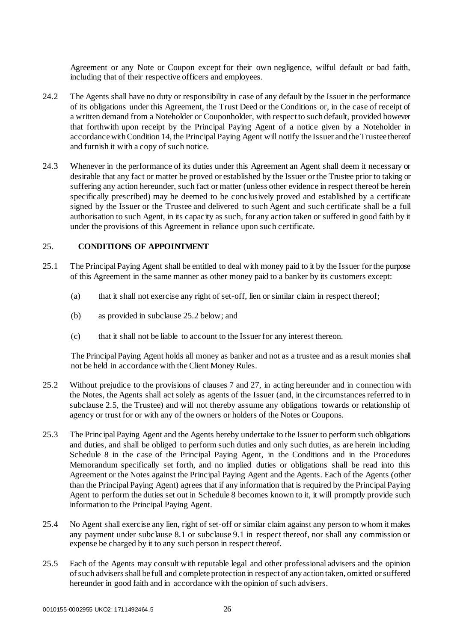Agreement or any Note or Coupon except for their own negligence, wilful default or bad faith, including that of their respective officers and employees.

- 24.2 The Agents shall have no duty or responsibility in case of any default by the Issuer in the performance of its obligations under this Agreement, the Trust Deed or the Conditions or, in the case of receipt of a written demand from a Noteholder or Couponholder, with respect to such default, provided however that forthwith upon receipt by the Principal Paying Agent of a notice given by a Noteholder in accordance with Condition 14, the Principal Paying Agent will notify the Issuer and the Trustee thereof and furnish it with a copy of such notice.
- 24.3 Whenever in the performance of its duties under this Agreement an Agent shall deem it necessary or desirable that any fact or matter be proved or established by the Issuer or the Trustee prior to taking or suffering any action hereunder, such fact or matter (unless other evidence in respect thereof be herein specifically prescribed) may be deemed to be conclusively proved and established by a certificate signed by the Issuer or the Trustee and delivered to such Agent and such certificate shall be a full authorisation to such Agent, in its capacity as such, for any action taken or suffered in good faith by it under the provisions of this Agreement in reliance upon such certificate.

## <span id="page-29-0"></span>25. **CONDITIONS OF APPOINTMENT**

- 25.1 The Principal Paying Agent shall be entitled to deal with money paid to it by the Issuer for the purpose of this Agreement in the same manner as other money paid to a banker by its customers except:
	- (a) that it shall not exercise any right of set-off, lien or similar claim in respect thereof;
	- (b) as provided in subclause 25.2 below; and
	- (c) that it shall not be liable to account to the Issuer for any interest thereon.

The Principal Paying Agent holds all money as banker and not as a trustee and as a result monies shall not be held in accordance with the Client Money Rules.

- 25.2 Without prejudice to the provisions of clauses 7 and 27, in acting hereunder and in connection with the Notes, the Agents shall act solely as agents of the Issuer (and, in the circumstances referred to in subclause 2.5, the Trustee) and will not thereby assume any obligations towards or relationship of agency or trust for or with any of the owners or holders of the Notes or Coupons.
- 25.3 The Principal Paying Agent and the Agents hereby undertake to the Issuer to perform such obligations and duties, and shall be obliged to perform such duties and only such duties, as are herein including Schedule 8 in the case of the Principal Paying Agent, in the Conditions and in the Procedures Memorandum specifically set forth, and no implied duties or obligations shall be read into this Agreement or the Notes against the Principal Paying Agent and the Agents. Each of the Agents (other than the Principal Paying Agent) agrees that if any information that is required by the Principal Paying Agent to perform the duties set out in Schedule 8 becomes known to it, it will promptly provide such information to the Principal Paying Agent.
- 25.4 No Agent shall exercise any lien, right of set-off or similar claim against any person to whom it makes any payment under subclause 8.1 or subclause 9.1 in respect thereof, nor shall any commission or expense be charged by it to any such person in respect thereof.
- 25.5 Each of the Agents may consult with reputable legal and other professional advisers and the opinion of such advisers shall be full and complete protection in respect of any action taken, omitted or suffered hereunder in good faith and in accordance with the opinion of such advisers.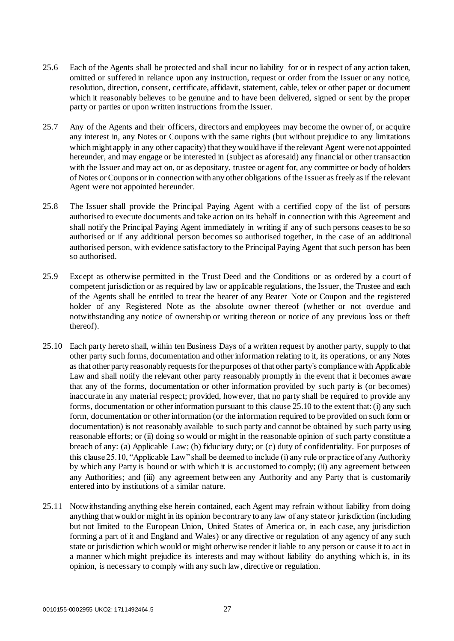- 25.6 Each of the Agents shall be protected and shall incur no liability for or in respect of any action taken, omitted or suffered in reliance upon any instruction, request or order from the Issuer or any notice, resolution, direction, consent, certificate, affidavit, statement, cable, telex or other paper or document which it reasonably believes to be genuine and to have been delivered, signed or sent by the proper party or parties or upon written instructions from the Issuer.
- 25.7 Any of the Agents and their officers, directors and employees may become the owner of, or acquire any interest in, any Notes or Coupons with the same rights (but without prejudice to any limitations which might apply in any other capacity) that they would have if the relevant Agent were not appointed hereunder, and may engage or be interested in (subject as aforesaid) any financial or other transaction with the Issuer and may act on, or as depositary, trustee or agent for, any committee or body of holders of Notes or Coupons or in connection with any other obligations of the Issuer as freely as if the relevant Agent were not appointed hereunder.
- 25.8 The Issuer shall provide the Principal Paying Agent with a certified copy of the list of persons authorised to execute documents and take action on its behalf in connection with this Agreement and shall notify the Principal Paying Agent immediately in writing if any of such persons ceases to be so authorised or if any additional person becomes so authorised together, in the case of an additional authorised person, with evidence satisfactory to the Principal Paying Agent that such person has been so authorised.
- 25.9 Except as otherwise permitted in the Trust Deed and the Conditions or as ordered by a court of competent jurisdiction or as required by law or applicable regulations, the Issuer, the Trustee and each of the Agents shall be entitled to treat the bearer of any Bearer Note or Coupon and the registered holder of any Registered Note as the absolute owner thereof (whether or not overdue and notwithstanding any notice of ownership or writing thereon or notice of any previous loss or theft thereof).
- 25.10 Each party hereto shall, within ten Business Days of a written request by another party, supply to that other party such forms, documentation and other information relating to it, its operations, or any Notes as that other party reasonably requests for the purposes of that other party's compliance with Applicable Law and shall notify the relevant other party reasonably promptly in the event that it becomes aware that any of the forms, documentation or other information provided by such party is (or becomes) inaccurate in any material respect; provided, however, that no party shall be required to provide any forms, documentation or other information pursuant to this clause 25.10 to the extent that: (i) any such form, documentation or other information (or the information required to be provided on such form or documentation) is not reasonably available to such party and cannot be obtained by such party using reasonable efforts; or (ii) doing so would or might in the reasonable opinion of such party constitute a breach of any: (a) Applicable Law; (b) fiduciary duty; or (c) duty of confidentiality. For purposes of this clause 25.10, "Applicable Law" shall be deemed to include (i) any rule or practice of any Authority by which any Party is bound or with which it is accustomed to comply; (ii) any agreement between any Authorities; and (iii) any agreement between any Authority and any Party that is customarily entered into by institutions of a similar nature.
- 25.11 Notwithstanding anything else herein contained, each Agent may refrain without liability from doing anything that would or might in its opinion be contrary to any law of any state or jurisdiction (including but not limited to the European Union, United States of America or, in each case, any jurisdiction forming a part of it and England and Wales) or any directive or regulation of any agency of any such state or jurisdiction which would or might otherwise render it liable to any person or cause it to act in a manner which might prejudice its interests and may without liability do anything which is, in its opinion, is necessary to comply with any such law, directive or regulation.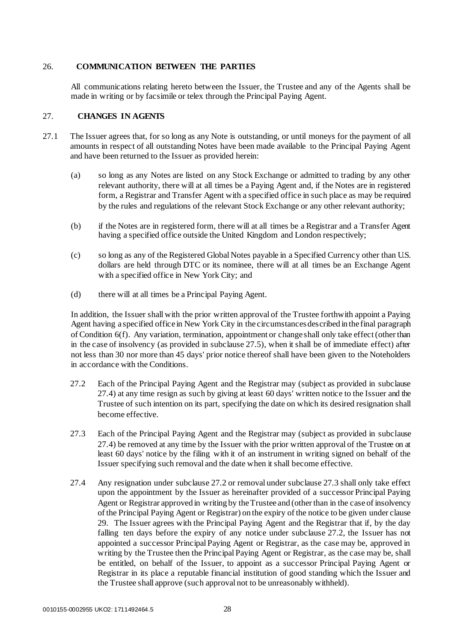## <span id="page-31-0"></span>26. **COMMUNICATION BETWEEN THE PARTIES**

All communications relating hereto between the Issuer, the Trustee and any of the Agents shall be made in writing or by facsimile or telex through the Principal Paying Agent.

## <span id="page-31-1"></span>27. **CHANGES IN AGENTS**

- 27.1 The Issuer agrees that, for so long as any Note is outstanding, or until moneys for the payment of all amounts in respect of all outstanding Notes have been made available to the Principal Paying Agent and have been returned to the Issuer as provided herein:
	- (a) so long as any Notes are listed on any Stock Exchange or admitted to trading by any other relevant authority, there will at all times be a Paying Agent and, if the Notes are in registered form, a Registrar and Transfer Agent with a specified office in such place as may be required by the rules and regulations of the relevant Stock Exchange or any other relevant authority;
	- (b) if the Notes are in registered form, there will at all times be a Registrar and a Transfer Agent having a specified office outside the United Kingdom and London respectively;
	- (c) so long as any of the Registered Global Notes payable in a Specified Currency other than U.S. dollars are held through DTC or its nominee, there will at all times be an Exchange Agent with a specified office in New York City; and
	- (d) there will at all times be a Principal Paying Agent.

In addition, the Issuer shall with the prior written approval of the Trustee forthwith appoint a Paying Agent having a specified office in New York City in the circumstances described in the final paragraph of Condition 6(f). Any variation, termination, appointment or change shall only take effect (other than in the case of insolvency (as provided in subclause 27.5), when it shall be of immediate effect) after not less than 30 nor more than 45 days' prior notice thereof shall have been given to the Noteholders in accordance with the Conditions.

- 27.2 Each of the Principal Paying Agent and the Registrar may (subject as provided in subclause 27.4) at any time resign as such by giving at least 60 days' written notice to the Issuer and the Trustee of such intention on its part, specifying the date on which its desired resignation shall become effective.
- 27.3 Each of the Principal Paying Agent and the Registrar may (subject as provided in subclause 27.4) be removed at any time by the Issuer with the prior written approval of the Trustee on at least 60 days' notice by the filing with it of an instrument in writing signed on behalf of the Issuer specifying such removal and the date when it shall become effective.
- 27.4 Any resignation under subclause 27.2 or removal under subclause 27.3 shall only take effect upon the appointment by the Issuer as hereinafter provided of a successor Principal Paying Agent or Registrar approved in writing by the Trustee and (other than in the case of insolvency of the Principal Paying Agent or Registrar) on the expiry of the notice to be given under clause 29. The Issuer agrees with the Principal Paying Agent and the Registrar that if, by the day falling ten days before the expiry of any notice under subclause 27.2, the Issuer has not appointed a successor Principal Paying Agent or Registrar, as the case may be, approved in writing by the Trustee then the Principal Paying Agent or Registrar, as the case may be, shall be entitled, on behalf of the Issuer, to appoint as a successor Principal Paying Agent or Registrar in its place a reputable financial institution of good standing which the Issuer and the Trustee shall approve (such approval not to be unreasonably withheld).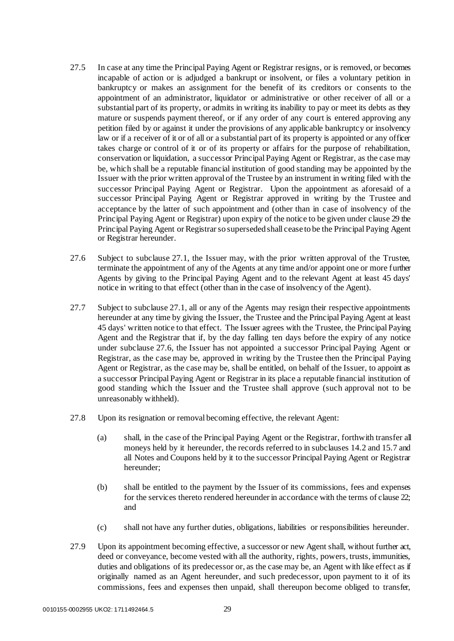- 27.5 In case at any time the Principal Paying Agent or Registrar resigns, or is removed, or becomes incapable of action or is adjudged a bankrupt or insolvent, or files a voluntary petition in bankruptcy or makes an assignment for the benefit of its creditors or consents to the appointment of an administrator, liquidator or administrative or other receiver of all or a substantial part of its property, or admits in writing its inability to pay or meet its debts as they mature or suspends payment thereof, or if any order of any court is entered approving any petition filed by or against it under the provisions of any applicable bankruptcy or insolvency law or if a receiver of it or of all or a substantial part of its property is appointed or any officer takes charge or control of it or of its property or affairs for the purpose of rehabilitation, conservation or liquidation, a successor Principal Paying Agent or Registrar, as the case may be, which shall be a reputable financial institution of good standing may be appointed by the Issuer with the prior written approval of the Trustee by an instrument in writing filed with the successor Principal Paying Agent or Registrar. Upon the appointment as aforesaid of a successor Principal Paying Agent or Registrar approved in writing by the Trustee and acceptance by the latter of such appointment and (other than in case of insolvency of the Principal Paying Agent or Registrar) upon expiry of the notice to be given under clause 29 the Principal Paying Agent or Registrar so superseded shall cease to be the Principal Paying Agent or Registrar hereunder.
- 27.6 Subject to subclause 27.1, the Issuer may, with the prior written approval of the Trustee, terminate the appointment of any of the Agents at any time and/or appoint one or more further Agents by giving to the Principal Paying Agent and to the relevant Agent at least 45 days' notice in writing to that effect (other than in the case of insolvency of the Agent).
- 27.7 Subject to subclause 27.1, all or any of the Agents may resign their respective appointments hereunder at any time by giving the Issuer, the Trustee and the Principal Paying Agent at least 45 days' written notice to that effect. The Issuer agrees with the Trustee, the Principal Paying Agent and the Registrar that if, by the day falling ten days before the expiry of any notice under subclause 27.6, the Issuer has not appointed a successor Principal Paying Agent or Registrar, as the case may be, approved in writing by the Trustee then the Principal Paying Agent or Registrar, as the case may be, shall be entitled, on behalf of the Issuer, to appoint as a successor Principal Paying Agent or Registrar in its place a reputable financial institution of good standing which the Issuer and the Trustee shall approve (such approval not to be unreasonably withheld).
- 27.8 Upon its resignation or removal becoming effective, the relevant Agent:
	- (a) shall, in the case of the Principal Paying Agent or the Registrar, forthwith transfer all moneys held by it hereunder, the records referred to in subclauses 14.2 and 15.7 and all Notes and Coupons held by it to the successor Principal Paying Agent or Registrar hereunder;
	- (b) shall be entitled to the payment by the Issuer of its commissions, fees and expenses for the services thereto rendered hereunder in accordance with the terms of clause 22; and
	- (c) shall not have any further duties, obligations, liabilities or responsibilities hereunder.
- 27.9 Upon its appointment becoming effective, a successor or new Agent shall, without further act, deed or conveyance, become vested with all the authority, rights, powers, trusts, immunities, duties and obligations of its predecessor or, as the case may be, an Agent with like effect as if originally named as an Agent hereunder, and such predecessor, upon payment to it of its commissions, fees and expenses then unpaid, shall thereupon become obliged to transfer,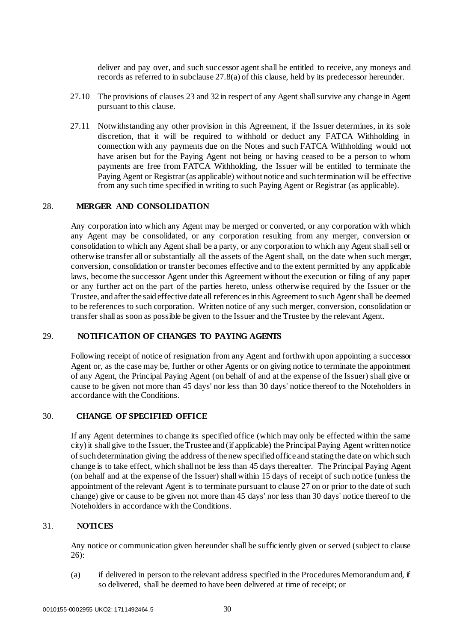deliver and pay over, and such successor agent shall be entitled to receive, any moneys and records as referred to in subclause 27.8(a) of this clause, held by its predecessor hereunder.

- 27.10 The provisions of clauses 23 and 32 in respect of any Agent shall survive any change in Agent pursuant to this clause.
- 27.11 Notwithstanding any other provision in this Agreement, if the Issuer determines, in its sole discretion, that it will be required to withhold or deduct any FATCA Withholding in connection with any payments due on the Notes and such FATCA Withholding would not have arisen but for the Paying Agent not being or having ceased to be a person to whom payments are free from FATCA Withholding, the Issuer will be entitled to terminate the Paying Agent or Registrar (as applicable) without notice and such termination will be effective from any such time specified in writing to such Paying Agent or Registrar (as applicable).

#### <span id="page-33-0"></span>28. **MERGER AND CONSOLIDATION**

Any corporation into which any Agent may be merged or converted, or any corporation with which any Agent may be consolidated, or any corporation resulting from any merger, conversion or consolidation to which any Agent shall be a party, or any corporation to which any Agent shall sell or otherwise transfer all or substantially all the assets of the Agent shall, on the date when such merger, conversion, consolidation or transfer becomes effective and to the extent permitted by any applicable laws, become the successor Agent under this Agreement without the execution or filing of any paper or any further act on the part of the parties hereto, unless otherwise required by the Issuer or the Trustee, and after the said effective date all references in this Agreement to such Agent shall be deemed to be references to such corporation. Written notice of any such merger, conversion, consolidation or transfer shall as soon as possible be given to the Issuer and the Trustee by the relevant Agent.

## <span id="page-33-1"></span>29. **NOTIFICATION OF CHANGES TO PAYING AGENTS**

Following receipt of notice of resignation from any Agent and forthwith upon appointing a successor Agent or, as the case may be, further or other Agents or on giving notice to terminate the appointment of any Agent, the Principal Paying Agent (on behalf of and at the expense of the Issuer) shall give or cause to be given not more than 45 days' nor less than 30 days' notice thereof to the Noteholders in accordance with the Conditions.

#### <span id="page-33-2"></span>30. **CHANGE OF SPECIFIED OFFICE**

If any Agent determines to change its specified office (which may only be effected within the same city) it shall give to the Issuer, the Trustee and (if applicable) the Principal Paying Agent written notice of such determination giving the address of the new specified office and stating the date on which such change is to take effect, which shall not be less than 45 days thereafter. The Principal Paying Agent (on behalf and at the expense of the Issuer) shall within 15 days of receipt of such notice (unless the appointment of the relevant Agent is to terminate pursuant to clause 27 on or prior to the date of such change) give or cause to be given not more than 45 days' nor less than 30 days' notice thereof to the Noteholders in accordance with the Conditions.

## <span id="page-33-3"></span>31. **NOTICES**

Any notice or communication given hereunder shall be sufficiently given or served (subject to clause 26):

(a) if delivered in person to the relevant address specified in the Procedures Memorandum and, if so delivered, shall be deemed to have been delivered at time of receipt; or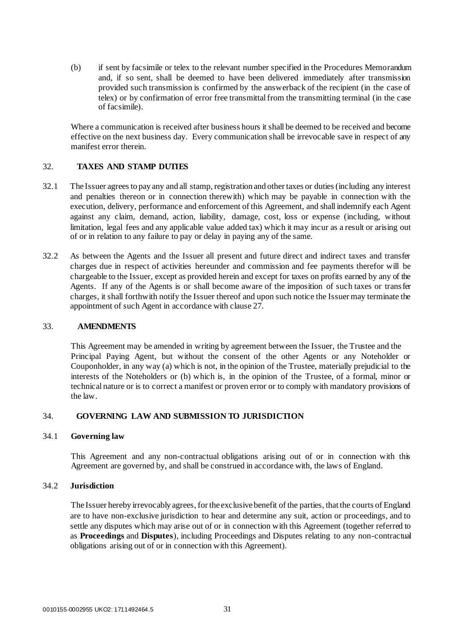(b) if sent by facsimile or telex to the relevant number specified in the Procedures Memorandum and, if so sent, shall be deemed to have been delivered immediately after transmission provided such transmission is confirmed by the answerback of the recipient (in the case of telex) or by confirmation of error free transmittal from the transmitting terminal (in the case of facsimile).

Where a communication is received after business hours it shall be deemed to be received and become effective on the next business day. Every communication shall be irrevocable save in respect of any manifest error therein.

## <span id="page-34-0"></span>32. **TAXES AND STAMP DUTIES**

- 32.1 The Issuer agrees to pay any and all stamp, registration and other taxes or duties (including any interest and penalties thereon or in connection therewith) which may be payable in connection with the execution, delivery, performance and enforcement of this Agreement, and shall indemnify each Agent against any claim, demand, action, liability, damage, cost, loss or expense (including, without limitation, legal fees and any applicable value added tax) which it may incur as a result or arising out of or in relation to any failure to pay or delay in paying any of the same.
- 32.2 As between the Agents and the Issuer all present and future direct and indirect taxes and transfer charges due in respect of activities hereunder and commission and fee payments therefor will be chargeable to the Issuer, except as provided herein and except for taxes on profits earned by any of the Agents. If any of the Agents is or shall become aware of the imposition of such taxes or transfer charges, it shall forthwith notify the Issuer thereof and upon such notice the Issuer may terminate the appointment of such Agent in accordance with clause 27.

## <span id="page-34-1"></span>33. **AMENDMENTS**

This Agreement may be amended in writing by agreement between the Issuer, the Trustee and the Principal Paying Agent, but without the consent of the other Agents or any Noteholder or Couponholder, in any way (a) which is not, in the opinion of the Trustee, materially prejudicial to the interests of the Noteholders or (b) which is, in the opinion of the Trustee, of a formal, minor or technical nature or is to correct a manifest or proven error or to comply with mandatory provisions of the law.

## <span id="page-34-2"></span>34. **GOVERNING LAW AND SUBMISSION TO JURISDICTION**

## 34.1 **Governing law**

This Agreement and any non-contractual obligations arising out of or in connection with this Agreement are governed by, and shall be construed in accordance with, the laws of England.

## 34.2 **Jurisdiction**

The Issuer hereby irrevocably agrees, for the exclusive benefit of the parties, that the courts of England are to have non-exclusive jurisdiction to hear and determine any suit, action or proceedings, and to settle any disputes which may arise out of or in connection with this Agreement (together referred to as **Proceedings** and **Disputes**), including Proceedings and Disputes relating to any non-contractual obligations arising out of or in connection with this Agreement).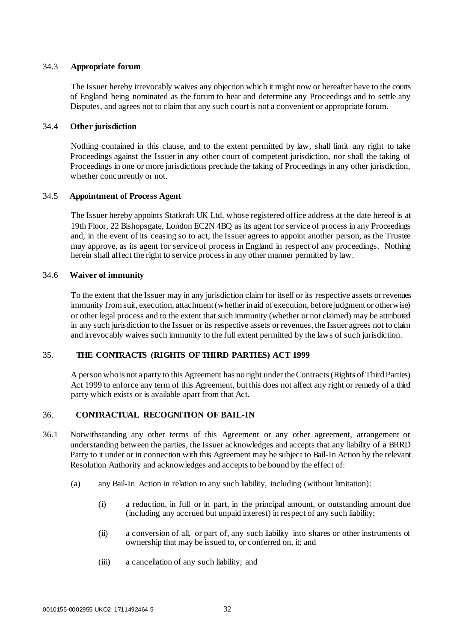## 34.3 **Appropriate forum**

The Issuer hereby irrevocably waives any objection which it might now or hereafter have to the courts of England being nominated as the forum to hear and determine any Proceedings and to settle any Disputes, and agrees not to claim that any such court is not a convenient or appropriate forum.

## 34.4 **Other jurisdiction**

Nothing contained in this clause, and to the extent permitted by law, shall limit any right to take Proceedings against the Issuer in any other court of competent jurisdiction, nor shall the taking of Proceedings in one or more jurisdictions preclude the taking of Proceedings in any other jurisdiction, whether concurrently or not.

## 34.5 **Appointment of Process Agent**

The Issuer hereby appoints Statkraft UK Ltd, whose registered office address at the date hereof is at 19th Floor, 22 Bishopsgate, London EC2N 4BQ as its agent for service of process in any Proceedings and, in the event of its ceasing so to act, the Issuer agrees to appoint another person, as the Trustee may approve, as its agent for service of process in England in respect of any proceedings. Nothing herein shall affect the right to service process in any other manner permitted by law.

## 34.6 **Waiver of immunity**

To the extent that the Issuer may in any jurisdiction claim for itself or its respective assets or revenues immunity from suit, execution, attachment (whether in aid of execution, before judgment or otherwise) or other legal process and to the extent that such immunity (whether or not claimed) may be attributed in any such jurisdiction to the Issuer or its respective assets or revenues, the Issuer agrees not to claim and irrevocably waives such immunity to the full extent permitted by the laws of such jurisdiction.

## <span id="page-35-0"></span>35. **THE CONTRACTS (RIGHTS OF THIRD PARTIES) ACT 1999**

A person who is not a party to this Agreement has no right under the Contracts (Rights of Third Parties) Act 1999 to enforce any term of this Agreement, but this does not affect any right or remedy of a third party which exists or is available apart from that Act.

## <span id="page-35-1"></span>36. **CONTRACTUAL RECOGNITION OF BAIL-IN**

- 36.1 Notwithstanding any other terms of this Agreement or any other agreement, arrangement or understanding between the parties, the Issuer acknowledges and accepts that any liability of a BRRD Party to it under or in connection with this Agreement may be subject to Bail-In Action by the relevant Resolution Authority and acknowledges and accepts to be bound by the effect of:
	- (a) any Bail-In Action in relation to any such liability, including (without limitation):
		- (i) a reduction, in full or in part, in the principal amount, or outstanding amount due (including any accrued but unpaid interest) in respect of any such liability;
		- (ii) a conversion of all, or part of, any such liability into shares or other instruments of ownership that may be issued to, or conferred on, it; and
		- (iii) a cancellation of any such liability; and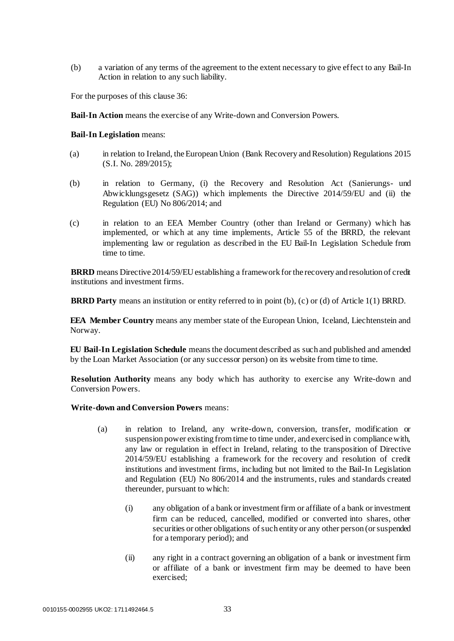(b) a variation of any terms of the agreement to the extent necessary to give effect to any Bail-In Action in relation to any such liability.

For the purposes of this clause 36:

**Bail-In Action** means the exercise of any Write-down and Conversion Powers.

#### **Bail-In Legislation** means:

- (a) in relation to Ireland, the European Union (Bank Recovery and Resolution) Regulations 2015 (S.I. No. 289/2015);
- (b) in relation to Germany, (i) the Recovery and Resolution Act (Sanierungs- und Abwicklungsgesetz (SAG)) which implements the Directive 2014/59/EU and (ii) the Regulation (EU) No 806/2014; and
- (c) in relation to an EEA Member Country (other than Ireland or Germany) which has implemented, or which at any time implements, Article 55 of the BRRD, the relevant implementing law or regulation as described in the EU Bail-In Legislation Schedule from time to time.

**BRRD** means Directive 2014/59/EU establishing a framework for the recovery and resolution of credit institutions and investment firms.

**BRRD Party** means an institution or entity referred to in point (b), (c) or (d) of Article 1(1) BRRD.

**EEA Member Country** means any member state of the European Union, Iceland, Liechtenstein and Norway.

**EU Bail-In Legislation Schedule** means the document described as such and published and amended by the Loan Market Association (or any successor person) on its website from time to time.

**Resolution Authority** means any body which has authority to exercise any Write-down and Conversion Powers.

#### **Write-down and Conversion Powers** means:

- (a) in relation to Ireland, any write-down, conversion, transfer, modification or suspension power existing from time to time under, and exercised in compliance with, any law or regulation in effect in Ireland, relating to the transposition of Directive 2014/59/EU establishing a framework for the recovery and resolution of credit institutions and investment firms, including but not limited to the Bail-In Legislation and Regulation (EU) No 806/2014 and the instruments, rules and standards created thereunder, pursuant to which:
	- (i) any obligation of a bank or investment firm or affiliate of a bank or investment firm can be reduced, cancelled, modified or converted into shares, other securities or other obligations of such entity or any other person (or suspended for a temporary period); and
	- (ii) any right in a contract governing an obligation of a bank or investment firm or affiliate of a bank or investment firm may be deemed to have been exercised;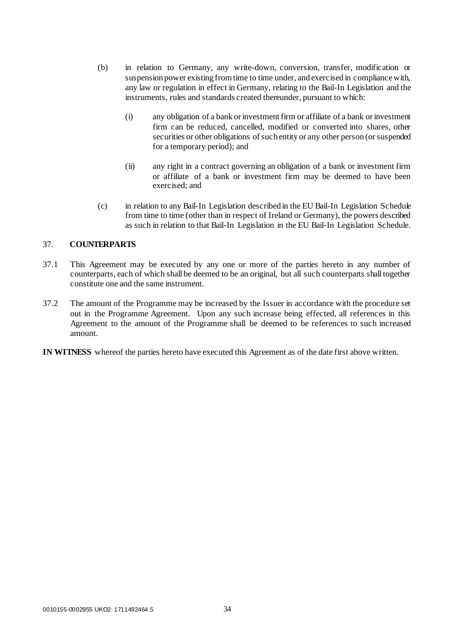- (b) in relation to Germany, any write-down, conversion, transfer, modification or suspension power existing from time to time under, and exercised in compliance with, any law or regulation in effect in Germany, relating to the Bail-In Legislation and the instruments, rules and standards created thereunder, pursuant to which:
	- (i) any obligation of a bank or investment firm or affiliate of a bank or investment firm can be reduced, cancelled, modified or converted into shares, other securities or other obligations of such entity or any other person (or suspended for a temporary period); and
	- (ii) any right in a contract governing an obligation of a bank or investment firm or affiliate of a bank or investment firm may be deemed to have been exercised; and
- (c) in relation to any Bail-In Legislation described in the EU Bail-In Legislation Schedule from time to time (other than in respect of Ireland or Germany), the powers described as such in relation to that Bail-In Legislation in the EU Bail-In Legislation Schedule.

## <span id="page-37-0"></span>37. **COUNTERPARTS**

- 37.1 This Agreement may be executed by any one or more of the parties hereto in any number of counterparts, each of which shall be deemed to be an original, but all such counterparts shall together constitute one and the same instrument.
- 37.2 The amount of the Programme may be increased by the Issuer in accordance with the procedure set out in the Programme Agreement. Upon any such increase being effected, all references in this Agreement to the amount of the Programme shall be deemed to be references to such increased amount.
- **IN WITNESS** whereof the parties hereto have executed this Agreement as of the date first above written.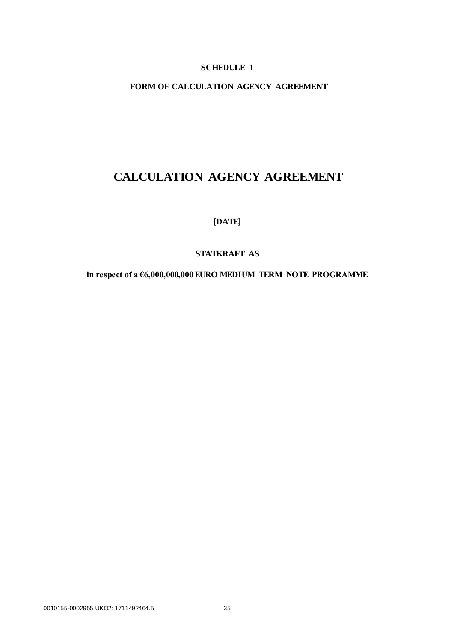## **SCHEDULE 1**

## <span id="page-38-0"></span>**FORM OF CALCULATION AGENCY AGREEMENT**

# **CALCULATION AGENCY AGREEMENT**

**[DATE]** 

## **STATKRAFT AS**

**in respect of a €6,000,000,000 EURO MEDIUM TERM NOTE PROGRAMME**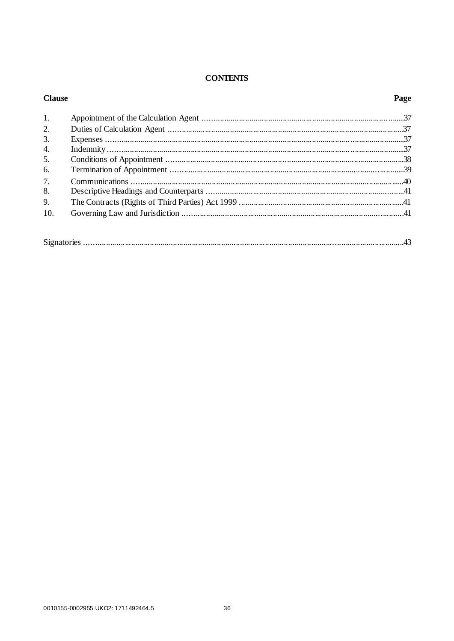## **CONTENTS**

| <b>Clause</b> | Page |
|---------------|------|
| 1.            |      |
| 2.            |      |
| 3.            |      |
| 4.            |      |
| 5.            |      |
| 6.            |      |
| 7.            |      |
| 8.            |      |
| 9.            |      |
| 10.           |      |
|               |      |
|               |      |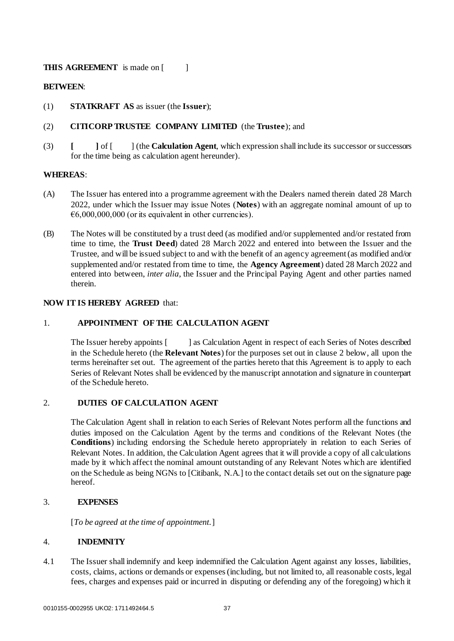## **THIS AGREEMENT** is made on [ ]

## **BETWEEN**:

(1) **STATKRAFT AS** as issuer (the **Issuer**);

## (2) **CITICORP TRUSTEE COMPANY LIMITED** (the **Trustee**); and

(3) **[ ]** of [ ] (the **Calculation Agent**, which expression shall include its successor or successors for the time being as calculation agent hereunder).

## **WHEREAS**:

- (A) The Issuer has entered into a programme agreement with the Dealers named therein dated 28 March 2022, under which the Issuer may issue Notes (**Notes**) with an aggregate nominal amount of up to  $\epsilon$ 6,000,000,000 (or its equivalent in other currencies).
- (B) The Notes will be constituted by a trust deed (as modified and/or supplemented and/or restated from time to time, the **Trust Deed**) dated 28 March 2022 and entered into between the Issuer and the Trustee, and will be issued subject to and with the benefit of an agency agreement (as modified and/or supplemented and/or restated from time to time, the **Agency Agreement**) dated 28 March 2022 and entered into between, *inter alia*, the Issuer and the Principal Paying Agent and other parties named therein.

## **NOW IT IS HEREBY AGREED** that:

## 1. **APPOINTMENT OF THE CALCULATION AGENT**

The Issuer hereby appoints [ ] as Calculation Agent in respect of each Series of Notes described in the Schedule hereto (the **Relevant Notes**) for the purposes set out in clause 2 below, all upon the terms hereinafter set out. The agreement of the parties hereto that this Agreement is to apply to each Series of Relevant Notes shall be evidenced by the manuscript annotation and signature in counterpart of the Schedule hereto.

## 2. **DUTIES OF CALCULATION AGENT**

The Calculation Agent shall in relation to each Series of Relevant Notes perform all the functions and duties imposed on the Calculation Agent by the terms and conditions of the Relevant Notes (the **Conditions**) including endorsing the Schedule hereto appropriately in relation to each Series of Relevant Notes. In addition, the Calculation Agent agrees that it will provide a copy of all calculations made by it which affect the nominal amount outstanding of any Relevant Notes which are identified on the Schedule as being NGNs to [Citibank, N.A.] to the contact details set out on the signature page hereof.

## 3. **EXPENSES**

[*To be agreed at the time of appointment.*]

## 4. **INDEMNITY**

4.1 The Issuer shall indemnify and keep indemnified the Calculation Agent against any losses, liabilities, costs, claims, actions or demands or expenses (including, but not limited to, all reasonable costs, legal fees, charges and expenses paid or incurred in disputing or defending any of the foregoing) which it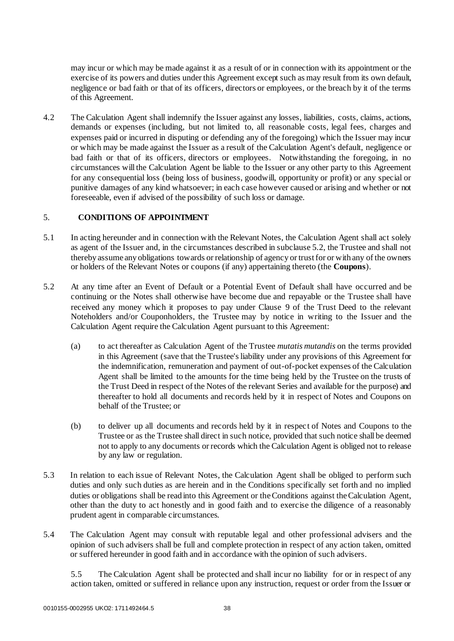may incur or which may be made against it as a result of or in connection with its appointment or the exercise of its powers and duties under this Agreement except such as may result from its own default, negligence or bad faith or that of its officers, directors or employees, or the breach by it of the terms of this Agreement.

4.2 The Calculation Agent shall indemnify the Issuer against any losses, liabilities, costs, claims, actions, demands or expenses (including, but not limited to, all reasonable costs, legal fees, charges and expenses paid or incurred in disputing or defending any of the foregoing) which the Issuer may incur or which may be made against the Issuer as a result of the Calculation Agent's default, negligence or bad faith or that of its officers, directors or employees. Notwithstanding the foregoing, in no circumstances will the Calculation Agent be liable to the Issuer or any other party to this Agreement for any consequential loss (being loss of business, goodwill, opportunity or profit) or any special or punitive damages of any kind whatsoever; in each case however caused or arising and whether or not foreseeable, even if advised of the possibility of such loss or damage.

## 5. **CONDITIONS OF APPOINTMENT**

- 5.1 In acting hereunder and in connection with the Relevant Notes, the Calculation Agent shall act solely as agent of the Issuer and, in the circumstances described in subclause 5.2, the Trustee and shall not thereby assume any obligations towards or relationship of agency or trust for or with any of the owners or holders of the Relevant Notes or coupons (if any) appertaining thereto (the **Coupons**).
- 5.2 At any time after an Event of Default or a Potential Event of Default shall have occurred and be continuing or the Notes shall otherwise have become due and repayable or the Trustee shall have received any money which it proposes to pay under Clause 9 of the Trust Deed to the relevant Noteholders and/or Couponholders, the Trustee may by notice in writing to the Issuer and the Calculation Agent require the Calculation Agent pursuant to this Agreement:
	- (a) to act thereafter as Calculation Agent of the Trustee *mutatis mutandis* on the terms provided in this Agreement (save that the Trustee's liability under any provisions of this Agreement for the indemnification, remuneration and payment of out-of-pocket expenses of the Calculation Agent shall be limited to the amounts for the time being held by the Trustee on the trusts of the Trust Deed in respect of the Notes of the relevant Series and available for the purpose) and thereafter to hold all documents and records held by it in respect of Notes and Coupons on behalf of the Trustee; or
	- (b) to deliver up all documents and records held by it in respect of Notes and Coupons to the Trustee or as the Trustee shall direct in such notice, provided that such notice shall be deemed not to apply to any documents or records which the Calculation Agent is obliged not to release by any law or regulation.
- 5.3 In relation to each issue of Relevant Notes, the Calculation Agent shall be obliged to perform such duties and only such duties as are herein and in the Conditions specifically set forth and no implied duties or obligations shall be read into this Agreement or the Conditions against the Calculation Agent, other than the duty to act honestly and in good faith and to exercise the diligence of a reasonably prudent agent in comparable circumstances.
- 5.4 The Calculation Agent may consult with reputable legal and other professional advisers and the opinion of such advisers shall be full and complete protection in respect of any action taken, omitted or suffered hereunder in good faith and in accordance with the opinion of such advisers.

5.5 The Calculation Agent shall be protected and shall incur no liability for or in respect of any action taken, omitted or suffered in reliance upon any instruction, request or order from the Issuer or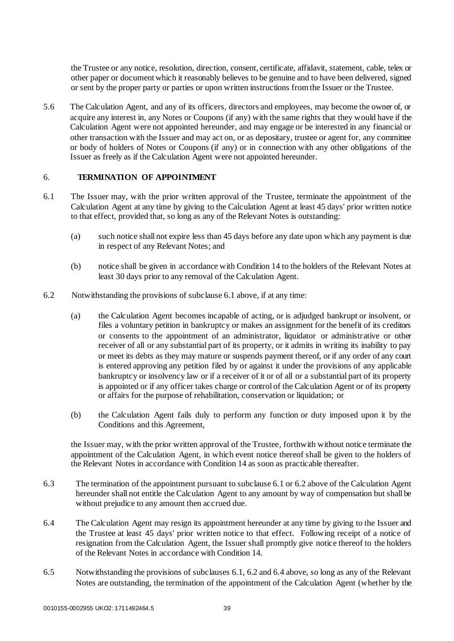the Trustee or any notice, resolution, direction, consent, certificate, affidavit, statement, cable, telex or other paper or document which it reasonably believes to be genuine and to have been delivered, signed or sent by the proper party or parties or upon written instructions from the Issuer or the Trustee.

5.6 The Calculation Agent, and any of its officers, directors and employees, may become the owner of, or acquire any interest in, any Notes or Coupons (if any) with the same rights that they would have if the Calculation Agent were not appointed hereunder, and may engage or be interested in any financial or other transaction with the Issuer and may act on, or as depositary, trustee or agent for, any committee or body of holders of Notes or Coupons (if any) or in connection with any other obligations of the Issuer as freely as if the Calculation Agent were not appointed hereunder.

## 6. **TERMINATION OF APPOINTMENT**

- 6.1 The Issuer may, with the prior written approval of the Trustee, terminate the appointment of the Calculation Agent at any time by giving to the Calculation Agent at least 45 days' prior written notice to that effect, provided that, so long as any of the Relevant Notes is outstanding:
	- (a) such notice shall not expire less than 45 days before any date upon which any payment is due in respect of any Relevant Notes; and
	- (b) notice shall be given in accordance with Condition 14 to the holders of the Relevant Notes at least 30 days prior to any removal of the Calculation Agent.
- 6.2 Notwithstanding the provisions of subclause 6.1 above, if at any time:
	- (a) the Calculation Agent becomes incapable of acting, or is adjudged bankrupt or insolvent, or files a voluntary petition in bankruptcy or makes an assignment for the benefit of its creditors or consents to the appointment of an administrator, liquidator or administrative or other receiver of all or any substantial part of its property, or it admits in writing its inability to pay or meet its debts as they may mature or suspends payment thereof, or if any order of any court is entered approving any petition filed by or against it under the provisions of any applicable bankruptcy or insolvency law or if a receiver of it or of all or a substantial part of its property is appointed or if any officer takes charge or control of the Calculation Agent or of its property or affairs for the purpose of rehabilitation, conservation or liquidation; or
	- (b) the Calculation Agent fails duly to perform any function or duty imposed upon it by the Conditions and this Agreement,

the Issuer may, with the prior written approval of the Trustee, forthwith without notice terminate the appointment of the Calculation Agent, in which event notice thereof shall be given to the holders of the Relevant Notes in accordance with Condition 14 as soon as practicable thereafter.

- 6.3 The termination of the appointment pursuant to subclause 6.1 or 6.2 above of the Calculation Agent hereunder shall not entitle the Calculation Agent to any amount by way of compensation but shall be without prejudice to any amount then accrued due.
- 6.4 The Calculation Agent may resign its appointment hereunder at any time by giving to the Issuer and the Trustee at least 45 days' prior written notice to that effect. Following receipt of a notice of resignation from the Calculation Agent, the Issuer shall promptly give notice thereof to the holders of the Relevant Notes in accordance with Condition 14.
- 6.5 Notwithstanding the provisions of subclauses 6.1, 6.2 and 6.4 above, so long as any of the Relevant Notes are outstanding, the termination of the appointment of the Calculation Agent (whether by the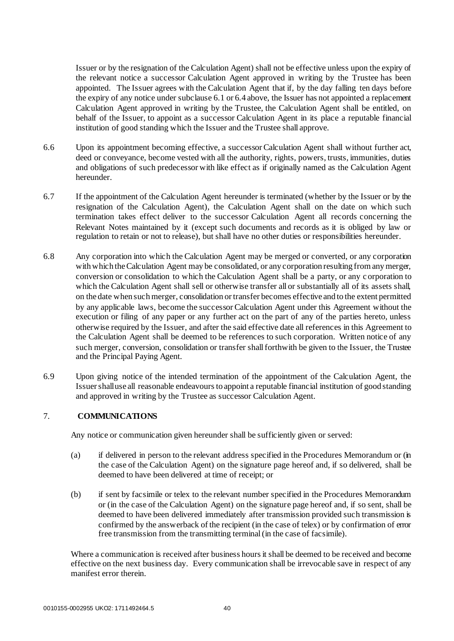Issuer or by the resignation of the Calculation Agent) shall not be effective unless upon the expiry of the relevant notice a successor Calculation Agent approved in writing by the Trustee has been appointed. The Issuer agrees with the Calculation Agent that if, by the day falling ten days before the expiry of any notice under subclause 6.1 or 6.4 above, the Issuer has not appointed a replacement Calculation Agent approved in writing by the Trustee, the Calculation Agent shall be entitled, on behalf of the Issuer, to appoint as a successor Calculation Agent in its place a reputable financial institution of good standing which the Issuer and the Trustee shall approve.

- 6.6 Upon its appointment becoming effective, a successor Calculation Agent shall without further act, deed or conveyance, become vested with all the authority, rights, powers, trusts, immunities, duties and obligations of such predecessor with like effect as if originally named as the Calculation Agent hereunder.
- 6.7 If the appointment of the Calculation Agent hereunder is terminated (whether by the Issuer or by the resignation of the Calculation Agent), the Calculation Agent shall on the date on which such termination takes effect deliver to the successor Calculation Agent all records concerning the Relevant Notes maintained by it (except such documents and records as it is obliged by law or regulation to retain or not to release), but shall have no other duties or responsibilities hereunder.
- 6.8 Any corporation into which the Calculation Agent may be merged or converted, or any corporation with which the Calculation Agent may be consolidated, or any corporation resulting from any merger, conversion or consolidation to which the Calculation Agent shall be a party, or any c orporation to which the Calculation Agent shall sell or otherwise transfer all or substantially all of its assets shall, on the date when such merger, consolidation or transfer becomes effective and to the extent permitted by any applicable laws, become the successor Calculation Agent under this Agreement without the execution or filing of any paper or any further act on the part of any of the parties hereto, unless otherwise required by the Issuer, and after the said effective date all references in this Agreement to the Calculation Agent shall be deemed to be references to such corporation. Written notice of any such merger, conversion, consolidation or transfer shall forthwith be given to the Issuer, the Trustee and the Principal Paying Agent.
- 6.9 Upon giving notice of the intended termination of the appointment of the Calculation Agent, the Issuer shall use all reasonable endeavours to appoint a reputable financial institution of good standing and approved in writing by the Trustee as successor Calculation Agent.

## 7. **COMMUNICATIONS**

Any notice or communication given hereunder shall be sufficiently given or served:

- (a) if delivered in person to the relevant address specified in the Procedures Memorandum or (in the case of the Calculation Agent) on the signature page hereof and, if so delivered, shall be deemed to have been delivered at time of receipt; or
- (b) if sent by facsimile or telex to the relevant number specified in the Procedures Memorandum or (in the case of the Calculation Agent) on the signature page hereof and, if so sent, shall be deemed to have been delivered immediately after transmission provided such transmission is confirmed by the answerback of the recipient (in the case of telex) or by confirmation of error free transmission from the transmitting terminal (in the case of facsimile).

Where a communication is received after business hours it shall be deemed to be received and become effective on the next business day. Every communication shall be irrevocable save in respect of any manifest error therein.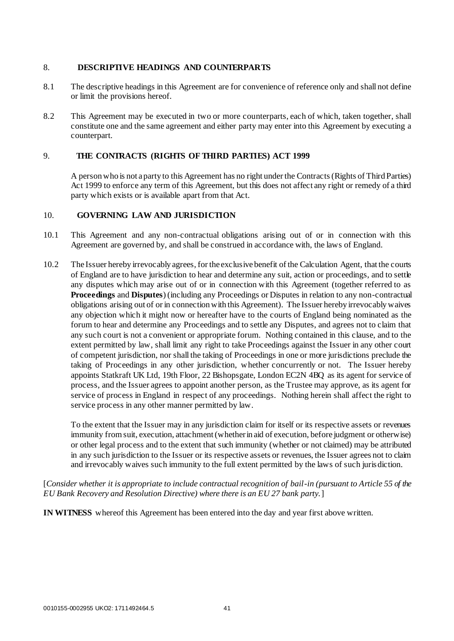## 8. **DESCRIPTIVE HEADINGS AND COUNTERPARTS**

- 8.1 The descriptive headings in this Agreement are for convenience of reference only and shall not define or limit the provisions hereof.
- 8.2 This Agreement may be executed in two or more counterparts, each of which, taken together, shall constitute one and the same agreement and either party may enter into this Agreement by executing a counterpart.

## 9. **THE CONTRACTS (RIGHTS OF THIRD PARTIES) ACT 1999**

A person who is not a party to this Agreement has no right under the Contracts (Rights of Third Parties) Act 1999 to enforce any term of this Agreement, but this does not affect any right or remedy of a third party which exists or is available apart from that Act.

## 10. **GOVERNING LAW AND JURISDICTION**

- 10.1 This Agreement and any non-contractual obligations arising out of or in connection with this Agreement are governed by, and shall be construed in accordance with, the laws of England.
- 10.2 The Issuer hereby irrevocably agrees, for the exclusive benefit of the Calculation Agent, that the courts of England are to have jurisdiction to hear and determine any suit, action or proceedings, and to settle any disputes which may arise out of or in connection with this Agreement (together referred to as **Proceedings** and **Disputes**) (including any Proceedings or Disputes in relation to any non-contractual obligations arising out of or in connection with this Agreement). The Issuer hereby irrevocably waives any objection which it might now or hereafter have to the courts of England being nominated as the forum to hear and determine any Proceedings and to settle any Disputes, and agrees not to claim that any such court is not a convenient or appropriate forum. Nothing contained in this clause, and to the extent permitted by law, shall limit any right to take Proceedings against the Issuer in any other court of competent jurisdiction, nor shall the taking of Proceedings in one or more jurisdictions preclude the taking of Proceedings in any other jurisdiction, whether concurrently or not. The Issuer hereby appoints Statkraft UK Ltd, 19th Floor, 22 Bishopsgate, London EC2N 4BQ as its agent for service of process, and the Issuer agrees to appoint another person, as the Trustee may approve, as its agent for service of process in England in respect of any proceedings. Nothing herein shall affect the right to service process in any other manner permitted by law.

To the extent that the Issuer may in any jurisdiction claim for itself or its respective assets or revenues immunity from suit, execution, attachment (whether in aid of execution, before judgment or otherwise) or other legal process and to the extent that such immunity (whether or not claimed) may be attributed in any such jurisdiction to the Issuer or its respective assets or revenues, the Issuer agrees not to claim and irrevocably waives such immunity to the full extent permitted by the laws of such jurisdiction.

## [*Consider whether it is appropriate to include contractual recognition of bail-in (pursuant to Article 55 of the EU Bank Recovery and Resolution Directive) where there is an EU 27 bank party.*]

**IN WITNESS** whereof this Agreement has been entered into the day and year first above written.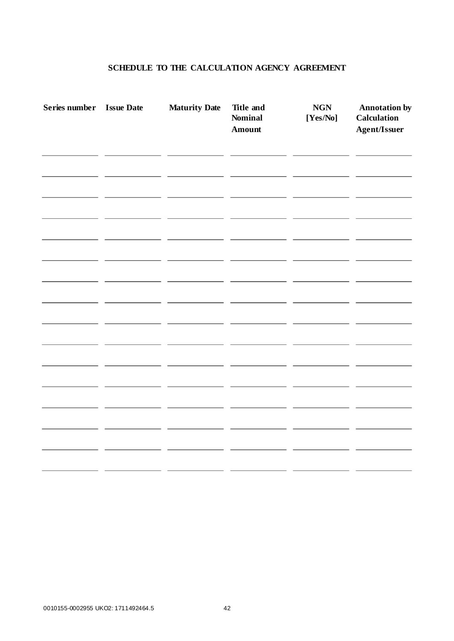## **SCHEDULE TO THE CALCULATION AGENCY AGREEMENT**

| Series number | <b>Issue Date</b> | <b>Maturity Date</b> | <b>Title and</b><br><b>Nominal</b><br><b>Amount</b> | <b>NGN</b><br>$[\mathrm{Yes}/\mathrm{No}]$ | <b>Annotation by</b><br><b>Calculation</b><br><b>Agent/Issuer</b> |
|---------------|-------------------|----------------------|-----------------------------------------------------|--------------------------------------------|-------------------------------------------------------------------|
|               |                   |                      |                                                     |                                            |                                                                   |
|               |                   |                      |                                                     |                                            |                                                                   |
|               |                   |                      |                                                     |                                            |                                                                   |
|               |                   |                      |                                                     |                                            |                                                                   |
|               |                   |                      |                                                     |                                            |                                                                   |
|               |                   |                      |                                                     |                                            |                                                                   |
|               |                   |                      |                                                     |                                            |                                                                   |
|               |                   |                      |                                                     |                                            |                                                                   |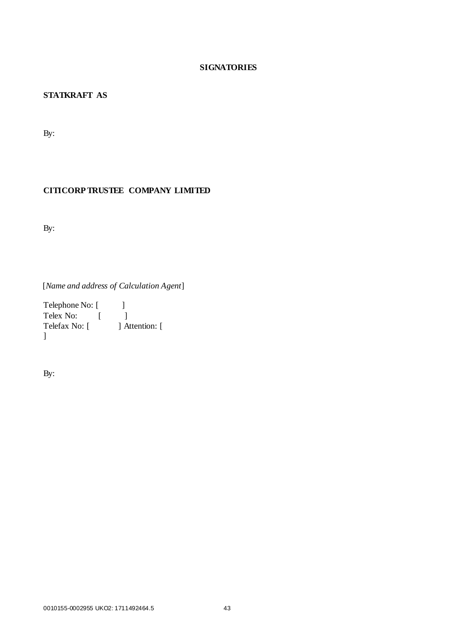## **SIGNATORIES**

## **STATKRAFT AS**

By:

## **CITICORP TRUSTEE COMPANY LIMITED**

By:

[*Name and address of Calculation Agent*]

Telephone No: [ ] Telex No: [ ] Telefax No: [ ] Attention: [ ]

By: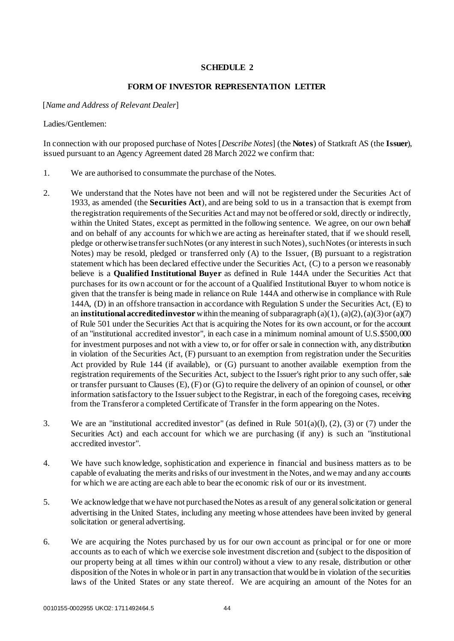## **SCHEDULE 2**

#### **FORM OF INVESTOR REPRESENTATION LETTER**

<span id="page-47-0"></span>[*Name and Address of Relevant Dealer*]

#### Ladies/Gentlemen:

In connection with our proposed purchase of Notes [*Describe Notes*] (the **Notes**) of Statkraft AS (the **Issuer**), issued pursuant to an Agency Agreement dated 28 March 2022 we confirm that:

- 1. We are authorised to consummate the purchase of the Notes.
- 2. We understand that the Notes have not been and will not be registered under the Securities Act of 1933, as amended (the **Securities Act**), and are being sold to us in a transaction that is exempt from the registration requirements of the Securities Act and may not be offered or sold, directly or indirectly, within the United States, except as permitted in the following sentence. We agree, on our own behalf and on behalf of any accounts for which we are acting as hereinafter stated, that if we should resell, pledge or otherwise transfer such Notes (or any interest in such Notes), such Notes (or interests in such Notes) may be resold, pledged or transferred only (A) to the Issuer, (B) pursuant to a registration statement which has been declared effective under the Securities Act, (C) to a person we reasonably believe is a **Qualified Institutional Buyer** as defined in Rule 144A under the Securities Act that purchases for its own account or for the account of a Qualified Institutional Buyer to whom notice is given that the transfer is being made in reliance on Rule 144A and otherwise in compliance with Rule 144A, (D) in an offshore transaction in accordance with Regulation S under the Securities Act, (E) to an **institutional accredited investor** within the meaning of subparagraph (a)(1), (a)(2), (a)(3) or (a)(7) of Rule 501 under the Securities Act that is acquiring the Notes for its own account, or for the account of an "institutional accredited investor", in each case in a minimum nominal amount of U.S.\$500,000 for investment purposes and not with a view to, or for offer or sale in connection with, any distribution in violation of the Securities Act, (F) pursuant to an exemption from registration under the Securities Act provided by Rule 144 (if available), or (G) pursuant to another available exemption from the registration requirements of the Securities Act, subject to the Issuer's right prior to any such offer, sale or transfer pursuant to Clauses (E), (F) or (G) to require the delivery of an opinion of counsel, or other information satisfactory to the Issuer subject to the Registrar, in each of the foregoing cases, receiving from the Transferor a completed Certificate of Transfer in the form appearing on the Notes.
- 3. We are an "institutional accredited investor" (as defined in Rule 501(a)(l), (2), (3) or (7) under the Securities Act) and each account for which we are purchasing (if any) is such an "institutional accredited investor".
- 4. We have such knowledge, sophistication and experience in financial and business matters as to be capable of evaluating the merits and risks of our investment in the Notes, and we may and any accounts for which we are acting are each able to bear the economic risk of our or its investment.
- 5. We acknowledge that we have not purchased the Notes as a result of any general solicitation or general advertising in the United States, including any meeting whose attendees have been invited by general solicitation or general advertising.
- 6. We are acquiring the Notes purchased by us for our own account as principal or for one or more accounts as to each of which we exercise sole investment discretion and (subject to the disposition of our property being at all times within our control) without a view to any resale, distribution or other disposition of the Notes in whole or in part in any transaction that would be in violation of the securities laws of the United States or any state thereof. We are acquiring an amount of the Notes for an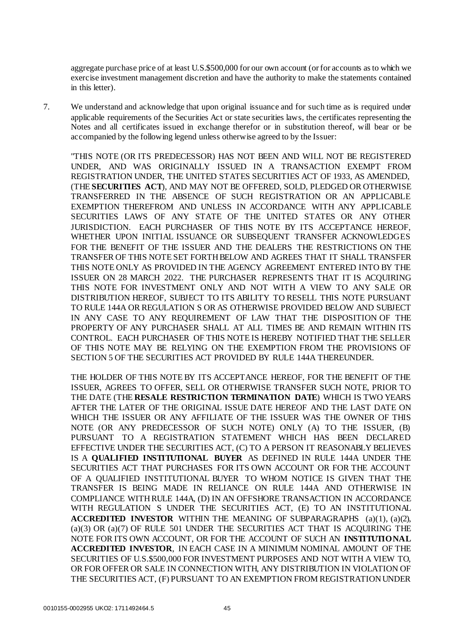aggregate purchase price of at least U.S.\$500,000 for our own account (or for accounts as to which we exercise investment management discretion and have the authority to make the statements contained in this letter).

7. We understand and acknowledge that upon original issuance and for such time as is required under applicable requirements of the Securities Act or state securities laws, the certificates representing the Notes and all certificates issued in exchange therefor or in substitution thereof, will bear or be accompanied by the following legend unless otherwise agreed to by the Issuer:

"THIS NOTE (OR ITS PREDECESSOR) HAS NOT BEEN AND WILL NOT BE REGISTERED UNDER, AND WAS ORIGINALLY ISSUED IN A TRANSACTION EXEMPT FROM REGISTRATION UNDER, THE UNITED STATES SECURITIES ACT OF 1933, AS AMENDED, (THE **SECURITIES ACT**), AND MAY NOT BE OFFERED, SOLD, PLEDGED OR OTHERWISE TRANSFERRED IN THE ABSENCE OF SUCH REGISTRATION OR AN APPLICABLE EXEMPTION THEREFROM AND UNLESS IN ACCORDANCE WITH ANY APPLICABLE SECURITIES LAWS OF ANY STATE OF THE UNITED STATES OR ANY OTHER JURISDICTION. EACH PURCHASER OF THIS NOTE BY ITS ACCEPTANCE HEREOF, WHETHER UPON INITIAL ISSUANCE OR SUBSEQUENT TRANSFER ACKNOWLEDGES FOR THE BENEFIT OF THE ISSUER AND THE DEALERS THE RESTRICTIONS ON THE TRANSFER OF THIS NOTE SET FORTH BELOW AND AGREES THAT IT SHALL TRANSFER THIS NOTE ONLY AS PROVIDED IN THE AGENCY AGREEMENT ENTERED INTO BY THE ISSUER ON 28 MARCH 2022. THE PURCHASER REPRESENTS THAT IT IS ACQUIRING THIS NOTE FOR INVESTMENT ONLY AND NOT WITH A VIEW TO ANY SALE OR DISTRIBUTION HEREOF, SUBJECT TO ITS ABILITY TO RESELL THIS NOTE PURSUANT TO RULE 144A OR REGULATION S OR AS OTHERWISE PROVIDED BELOW AND SUBJECT IN ANY CASE TO ANY REQUIREMENT OF LAW THAT THE DISPOSITION OF THE PROPERTY OF ANY PURCHASER SHALL AT ALL TIMES BE AND REMAIN WITHIN ITS CONTROL. EACH PURCHASER OF THIS NOTE IS HEREBY NOTIFIED THAT THE SELLER OF THIS NOTE MAY BE RELYING ON THE EXEMPTION FROM THE PROVISIONS OF SECTION 5 OF THE SECURITIES ACT PROVIDED BY RULE 144A THEREUNDER.

THE HOLDER OF THIS NOTE BY ITS ACCEPTANCE HEREOF, FOR THE BENEFIT OF THE ISSUER, AGREES TO OFFER, SELL OR OTHERWISE TRANSFER SUCH NOTE, PRIOR TO THE DATE (THE **RESALE RESTRICTION TERMINATION DATE**) WHICH IS TWO YEARS AFTER THE LATER OF THE ORIGINAL ISSUE DATE HEREOF AND THE LAST DATE ON WHICH THE ISSUER OR ANY AFFILIATE OF THE ISSUER WAS THE OWNER OF THIS NOTE (OR ANY PREDECESSOR OF SUCH NOTE) ONLY (A) TO THE ISSUER, (B) PURSUANT TO A REGISTRATION STATEMENT WHICH HAS BEEN DECLARED EFFECTIVE UNDER THE SECURITIES ACT, (C) TO A PERSON IT REASONABLY BELIEVES IS A **QUALIFIED INSTITUTIONAL BUYER** AS DEFINED IN RULE 144A UNDER THE SECURITIES ACT THAT PURCHASES FOR ITS OWN ACCOUNT OR FOR THE ACCOUNT OF A QUALIFIED INSTITUTIONAL BUYER TO WHOM NOTICE IS GIVEN THAT THE TRANSFER IS BEING MADE IN RELIANCE ON RULE 144A AND OTHERWISE IN COMPLIANCE WITH RULE 144A, (D) IN AN OFFSHORE TRANSACTION IN ACCORDANCE WITH REGULATION S UNDER THE SECURITIES ACT, (E) TO AN INSTITUTIONAL **ACCREDITED INVESTOR** WITHIN THE MEANING OF SUBPARAGRAPHS (a)(1), (a)(2), (a)(3) OR (a)(7) OF RULE 501 UNDER THE SECURITIES ACT THAT IS ACQUIRING THE NOTE FOR ITS OWN ACCOUNT, OR FOR THE ACCOUNT OF SUCH AN **INSTITUTIONAL ACCREDITED INVESTOR**, IN EACH CASE IN A MINIMUM NOMINAL AMOUNT OF THE SECURITIES OF U.S.\$500,000 FOR INVESTMENT PURPOSES AND NOT WITH A VIEW TO, OR FOR OFFER OR SALE IN CONNECTION WITH, ANY DISTRIBUTION IN VIOLATION OF THE SECURITIES ACT, (F) PURSUANT TO AN EXEMPTION FROM REGISTRATION UNDER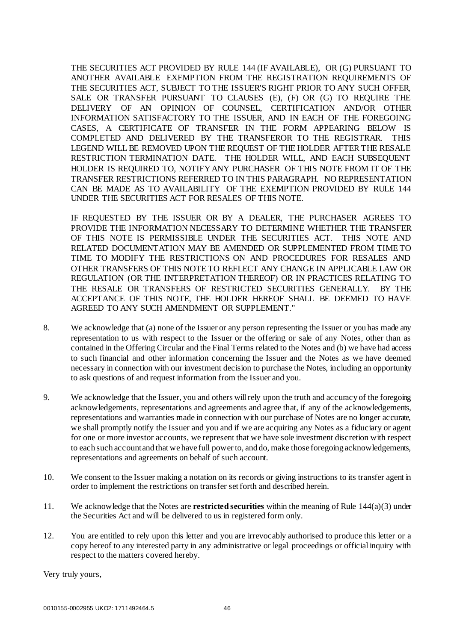THE SECURITIES ACT PROVIDED BY RULE 144 (IF AVAILABLE), OR (G) PURSUANT TO ANOTHER AVAILABLE EXEMPTION FROM THE REGISTRATION REQUIREMENTS OF THE SECURITIES ACT, SUBJECT TO THE ISSUER'S RIGHT PRIOR TO ANY SUCH OFFER, SALE OR TRANSFER PURSUANT TO CLAUSES (E), (F) OR (G) TO REQUIRE THE DELIVERY OF AN OPINION OF COUNSEL, CERTIFICATION AND/OR OTHER INFORMATION SATISFACTORY TO THE ISSUER, AND IN EACH OF THE FOREGOING CASES, A CERTIFICATE OF TRANSFER IN THE FORM APPEARING BELOW IS COMPLETED AND DELIVERED BY THE TRANSFEROR TO THE REGISTRAR. THIS LEGEND WILL BE REMOVED UPON THE REQUEST OF THE HOLDER AFTER THE RESALE RESTRICTION TERMINATION DATE. THE HOLDER WILL, AND EACH SUBSEQUENT HOLDER IS REQUIRED TO, NOTIFY ANY PURCHASER OF THIS NOTE FROM IT OF THE TRANSFER RESTRICTIONS REFERRED TO IN THIS PARAGRAPH. NO REPRESENTATION CAN BE MADE AS TO AVAILABILITY OF THE EXEMPTION PROVIDED BY RULE 144 UNDER THE SECURITIES ACT FOR RESALES OF THIS NOTE.

IF REQUESTED BY THE ISSUER OR BY A DEALER, THE PURCHASER AGREES TO PROVIDE THE INFORMATION NECESSARY TO DETERMINE WHETHER THE TRANSFER OF THIS NOTE IS PERMISSIBLE UNDER THE SECURITIES ACT. THIS NOTE AND RELATED DOCUMENTATION MAY BE AMENDED OR SUPPLEMENTED FROM TIME TO TIME TO MODIFY THE RESTRICTIONS ON AND PROCEDURES FOR RESALES AND OTHER TRANSFERS OF THIS NOTE TO REFLECT ANY CHANGE IN APPLICABLE LAW OR REGULATION (OR THE INTERPRETATION THEREOF) OR IN PRACTICES RELATING TO THE RESALE OR TRANSFERS OF RESTRICTED SECURITIES GENERALLY. BY THE ACCEPTANCE OF THIS NOTE, THE HOLDER HEREOF SHALL BE DEEMED TO HAVE AGREED TO ANY SUCH AMENDMENT OR SUPPLEMENT."

- 8. We acknowledge that (a) none of the Issuer or any person representing the Issuer or you has made any representation to us with respect to the Issuer or the offering or sale of any Notes, other than as contained in the Offering Circular and the Final Terms related to the Notes and (b) we have had access to such financial and other information concerning the Issuer and the Notes as we have deemed necessary in connection with our investment decision to purchase the Notes, including an opportunity to ask questions of and request information from the Issuer and you.
- 9. We acknowledge that the Issuer, you and others will rely upon the truth and accuracy of the foregoing acknowledgements, representations and agreements and agree that, if any of the acknowledgements, representations and warranties made in connection with our purchase of Notes are no longer accurate, we shall promptly notify the Issuer and you and if we are acquiring any Notes as a fiduciary or agent for one or more investor accounts, we represent that we have sole investment discretion with respect to each such account and that we have full power to, and do, make those foregoing acknowledgements, representations and agreements on behalf of such account.
- 10. We consent to the Issuer making a notation on its records or giving instructions to its transfer agent in order to implement the restrictions on transfer set forth and described herein.
- 11. We acknowledge that the Notes are **restricted securities** within the meaning of Rule 144(a)(3) under the Securities Act and will be delivered to us in registered form only.
- 12. You are entitled to rely upon this letter and you are irrevocably authorised to produce this letter or a copy hereof to any interested party in any administrative or legal proceedings or official inquiry with respect to the matters covered hereby.

Very truly yours,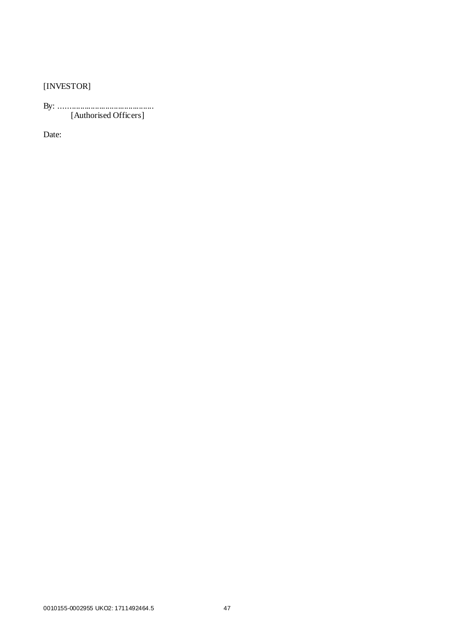[INVESTOR]

By: ............................................. [Authorised Officers]

Date: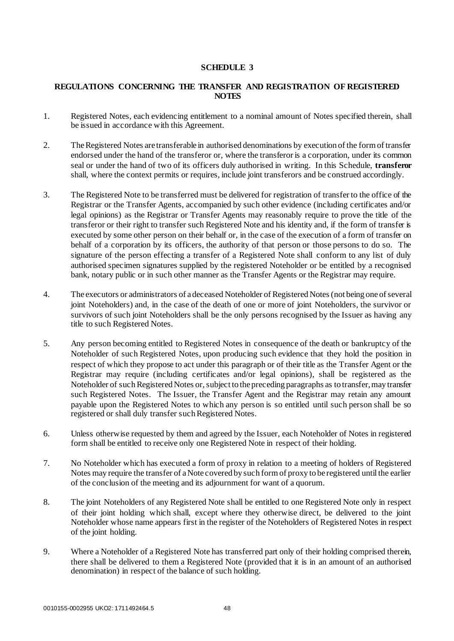## **SCHEDULE 3**

#### <span id="page-51-0"></span>**REGULATIONS CONCERNING THE TRANSFER AND REGISTRATION OF REGISTERED NOTES**

- 1. Registered Notes, each evidencing entitlement to a nominal amount of Notes specified therein, shall be issued in accordance with this Agreement.
- 2. The Registered Notes are transferable in authorised denominations by execution of the form of transfer endorsed under the hand of the transferor or, where the transferor is a corporation, under its common seal or under the hand of two of its officers duly authorised in writing. In this Schedule, **transferor** shall, where the context permits or requires, include joint transferors and be construed accordingly.
- 3. The Registered Note to be transferred must be delivered for registration of transfer to the office of the Registrar or the Transfer Agents, accompanied by such other evidence (including certificates and/or legal opinions) as the Registrar or Transfer Agents may reasonably require to prove the title of the transferor or their right to transfer such Registered Note and his identity and, if the form of transfer is executed by some other person on their behalf or, in the case of the execution of a form of transfer on behalf of a corporation by its officers, the authority of that person or those persons to do so. The signature of the person effecting a transfer of a Registered Note shall conform to any list of duly authorised specimen signatures supplied by the registered Noteholder or be entitled by a recognised bank, notary public or in such other manner as the Transfer Agents or the Registrar may require.
- 4. The executors or administrators of a deceased Noteholder of Registered Notes (not being one of several joint Noteholders) and, in the case of the death of one or more of joint Noteholders, the survivor or survivors of such joint Noteholders shall be the only persons recognised by the Issuer as having any title to such Registered Notes.
- 5. Any person becoming entitled to Registered Notes in consequence of the death or bankruptcy of the Noteholder of such Registered Notes, upon producing such evidence that they hold the position in respect of which they propose to act under this paragraph or of their title as the Transfer Agent or the Registrar may require (including certificates and/or legal opinions), shall be registered as the Noteholder of such Registered Notes or, subject to the preceding paragraphs as to transfer, may transfer such Registered Notes. The Issuer, the Transfer Agent and the Registrar may retain any amount payable upon the Registered Notes to which any person is so entitled until such person shall be so registered or shall duly transfer such Registered Notes.
- 6. Unless otherwise requested by them and agreed by the Issuer, each Noteholder of Notes in registered form shall be entitled to receive only one Registered Note in respect of their holding.
- 7. No Noteholder which has executed a form of proxy in relation to a meeting of holders of Registered Notes may require the transfer of a Note covered by such form of proxy to be registered until the earlier of the conclusion of the meeting and its adjournment for want of a quorum.
- 8. The joint Noteholders of any Registered Note shall be entitled to one Registered Note only in respect of their joint holding which shall, except where they otherwise direct, be delivered to the joint Noteholder whose name appears first in the register of the Noteholders of Registered Notes in respect of the joint holding.
- 9. Where a Noteholder of a Registered Note has transferred part only of their holding comprised therein, there shall be delivered to them a Registered Note (provided that it is in an amount of an authorised denomination) in respect of the balance of such holding.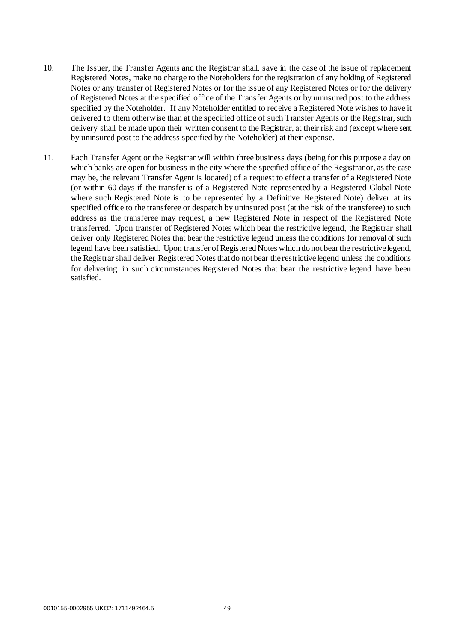- 10. The Issuer, the Transfer Agents and the Registrar shall, save in the case of the issue of replacement Registered Notes, make no charge to the Noteholders for the registration of any holding of Registered Notes or any transfer of Registered Notes or for the issue of any Registered Notes or for the delivery of Registered Notes at the specified office of the Transfer Agents or by uninsured post to the address specified by the Noteholder. If any Noteholder entitled to receive a Registered Note wishes to have it delivered to them otherwise than at the specified office of such Transfer Agents or the Registrar, such delivery shall be made upon their written consent to the Registrar, at their risk and (except where sent by uninsured post to the address specified by the Noteholder) at their expense.
- 11. Each Transfer Agent or the Registrar will within three business days (being for this purpose a day on which banks are open for business in the city where the specified office of the Registrar or, as the case may be, the relevant Transfer Agent is located) of a request to effect a transfer of a Registered Note (or within 60 days if the transfer is of a Registered Note represented by a Registered Global Note where such Registered Note is to be represented by a Definitive Registered Note) deliver at its specified office to the transferee or despatch by uninsured post (at the risk of the transferee) to such address as the transferee may request, a new Registered Note in respect of the Registered Note transferred. Upon transfer of Registered Notes which bear the restrictive legend, the Registrar shall deliver only Registered Notes that bear the restrictive legend unless the conditions for removal of such legend have been satisfied. Upon transfer of Registered Notes which do not bear the restrictive legend, the Registrar shall deliver Registered Notes that do not bear the restrictive legend unless the conditions for delivering in such circumstances Registered Notes that bear the restrictive legend have been satisfied.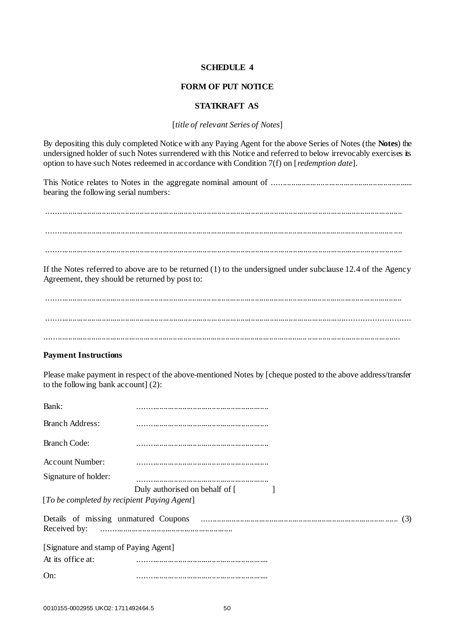#### **SCHEDULE 4**

#### **FORM OF PUT NOTICE**

## **STATKRAFT AS**

[*title of relevant Series of Notes*]

<span id="page-53-0"></span>By depositing this duly completed Notice with any Paying Agent for the above Series of Notes (the **Notes**) the undersigned holder of such Notes surrendered with this Notice and referred to below irrevocably exercises its option to have such Notes redeemed in accordance with Condition 7(f) on [*redemption date*].

This Notice relates to Notes in the aggregate nominal amount of ................................................................... bearing the following serial numbers:

......................................................................................................................................................................... ..................................................................................................................................................................... .... .........................................................................................................................................................................

If the Notes referred to above are to be returned (1) to the undersigned under subclause 12.4 of the Agency Agreement, they should be returned by post to:

......................................................................................................................................................................... ......................................................................................................................................................................... ............................................................................................................................. ............................................

## **Payment Instructions**

Please make payment in respect of the above-mentioned Notes by [cheque posted to the above address/transfer to the following bank account] (2):

| Bank:                                       |                                |
|---------------------------------------------|--------------------------------|
| <b>Branch Address:</b>                      |                                |
| <b>Branch Code:</b>                         |                                |
| <b>Account Number:</b>                      |                                |
| Signature of holder:                        |                                |
| [To be completed by recipient Paying Agent] | Duly authorised on behalf of [ |
|                                             |                                |
| [Signature and stamp of Paying Agent]       |                                |
| At its office at:                           |                                |
| On:                                         |                                |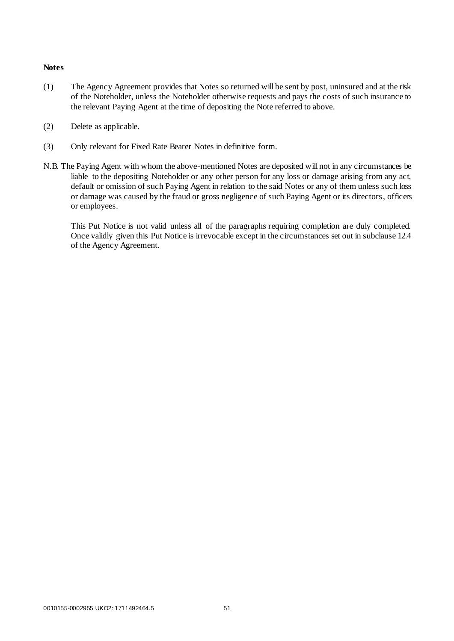#### **Notes**

- (1) The Agency Agreement provides that Notes so returned will be sent by post, uninsured and at the risk of the Noteholder, unless the Noteholder otherwise requests and pays the costs of such insurance to the relevant Paying Agent at the time of depositing the Note referred to above.
- (2) Delete as applicable.
- (3) Only relevant for Fixed Rate Bearer Notes in definitive form.
- N.B. The Paying Agent with whom the above-mentioned Notes are deposited will not in any circumstances be liable to the depositing Noteholder or any other person for any loss or damage arising from any act, default or omission of such Paying Agent in relation to the said Notes or any of them unless such loss or damage was caused by the fraud or gross negligence of such Paying Agent or its directors, officers or employees.

This Put Notice is not valid unless all of the paragraphs requiring completion are duly completed. Once validly given this Put Notice is irrevocable except in the circumstances set out in subclause 12.4 of the Agency Agreement.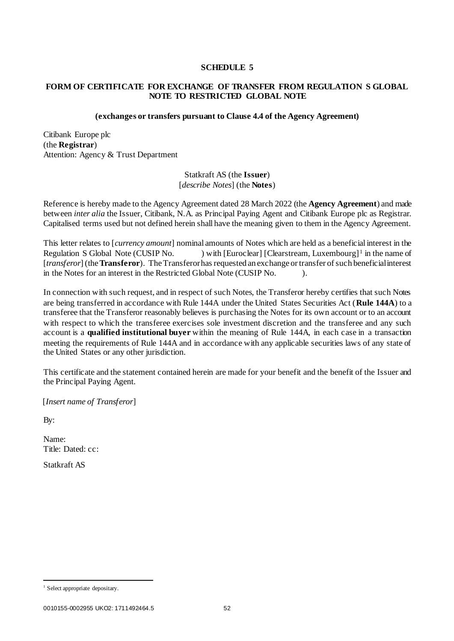#### **SCHEDULE 5**

#### <span id="page-55-0"></span>**FORM OF CERTIFICATE FOR EXCHANGE OF TRANSFER FROM REGULATION S GLOBAL NOTE TO RESTRICTED GLOBAL NOTE**

#### **(exchanges or transfers pursuant to Clause 4.4 of the Agency Agreement)**

Citibank Europe plc (the **Registrar**) Attention: Agency & Trust Department

> Statkraft AS (the **Issuer**) [*describe Notes*] (the **Notes**)

Reference is hereby made to the Agency Agreement dated 28 March 2022 (the **Agency Agreement**) and made between *inter alia* the Issuer, Citibank, N.A. as Principal Paying Agent and Citibank Europe plc as Registrar. Capitalised terms used but not defined herein shall have the meaning given to them in the Agency Agreement.

This letter relates to [*currency amount*] nominal amounts of Notes which are held as a beneficial interest in the Regulation S Global Note (CUSIP No. ) with [Euroclear] [Clearstream, Luxembourg]<sup>1</sup> in the name of [*transferor*] (the **Transferor**). The Transferor has requested an exchange or transfer of such beneficial interest in the Notes for an interest in the Restricted Global Note (CUSIP No. ).

In connection with such request, and in respect of such Notes, the Transferor hereby certifies that such Notes are being transferred in accordance with Rule 144A under the United States Securities Act (**Rule 144A**) to a transferee that the Transferor reasonably believes is purchasing the Notes for its own account or to an account with respect to which the transferee exercises sole investment discretion and the transferee and any such account is a **qualified institutional buyer** within the meaning of Rule 144A, in each case in a transaction meeting the requirements of Rule 144A and in accordance with any applicable securities laws of any state of the United States or any other jurisdiction.

This certificate and the statement contained herein are made for your benefit and the benefit of the Issuer and the Principal Paying Agent.

[*Insert name of Transferor*]

By:

.

Name: Title: Dated: cc:

Statkraft AS

<sup>&</sup>lt;sup>1</sup> Select appropriate depositary.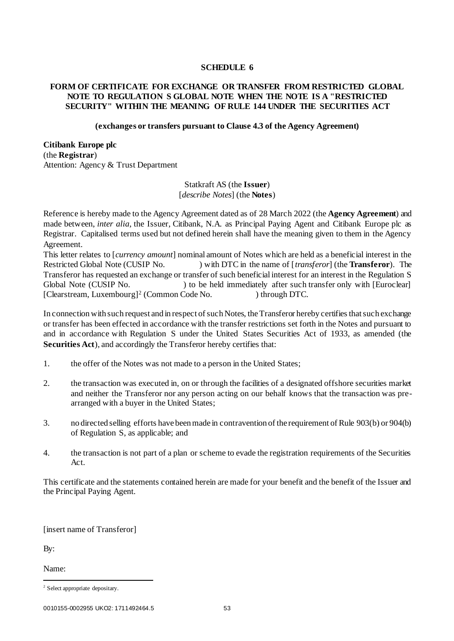## **SCHEDULE 6**

## <span id="page-56-0"></span>**FORM OF CERTIFICATE FOR EXCHANGE OR TRANSFER FROM RESTRICTED GLOBAL NOTE TO REGULATION S GLOBAL NOTE WHEN THE NOTE IS A "RESTRICTED SECURITY" WITHIN THE MEANING OF RULE 144 UNDER THE SECURITIES ACT**

#### **(exchanges or transfers pursuant to Clause 4.3 of the Agency Agreement)**

**Citibank Europe plc** (the **Registrar**) Attention: Agency & Trust Department

> Statkraft AS (the **Issuer**) [*describe Notes*] (the **Notes**)

Reference is hereby made to the Agency Agreement dated as of 28 March 2022 (the **Agency Agreement**) and made between, *inter alia*, the Issuer, Citibank, N.A. as Principal Paying Agent and Citibank Europe plc as Registrar. Capitalised terms used but not defined herein shall have the meaning given to them in the Agency Agreement.

This letter relates to [*currency amount*] nominal amount of Notes which are held as a beneficial interest in the Restricted Global Note (CUSIP No. ) with DTC in the name of [*transferor*] (the **Transferor**). The Transferor has requested an exchange or transfer of such beneficial interest for an interest in the Regulation S Global Note (CUSIP No. ) to be held immediately after such transfer only with [Euroclear] [Clearstream, Luxembourg]<sup>2</sup> (Common Code No. ) through DTC.

In connection with such request and in respect of such Notes, the Transferor hereby certifies that such exchange or transfer has been effected in accordance with the transfer restrictions set forth in the Notes and pursuant to and in accordance with Regulation S under the United States Securities Act of 1933, as amended (the **Securities Act**), and accordingly the Transferor hereby certifies that:

- 1. the offer of the Notes was not made to a person in the United States;
- 2. the transaction was executed in, on or through the facilities of a designated offshore securities market and neither the Transferor nor any person acting on our behalf knows that the transaction was prearranged with a buyer in the United States;
- 3. no directed selling efforts have been made in contravention of the requirement of Rule 903(b) or 904(b) of Regulation S, as applicable; and
- 4. the transaction is not part of a plan or scheme to evade the registration requirements of the Securities Act.

This certificate and the statements contained herein are made for your benefit and the benefit of the Issuer and the Principal Paying Agent.

[insert name of Transferor]

By:

.

Name:

<sup>&</sup>lt;sup>2</sup> Select appropriate depositary.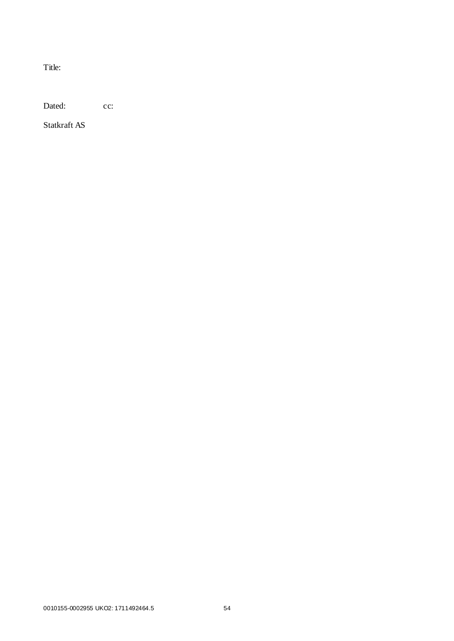Title:

Dated: cc:

Statkraft AS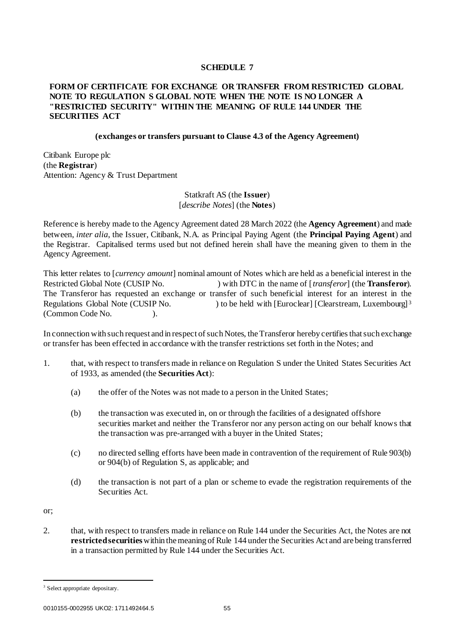## **SCHEDULE 7**

## <span id="page-58-0"></span>**FORM OF CERTIFICATE FOR EXCHANGE OR TRANSFER FROM RESTRICTED GLOBAL NOTE TO REGULATION S GLOBAL NOTE WHEN THE NOTE IS NO LONGER A "RESTRICTED SECURITY" WITHIN THE MEANING OF RULE 144 UNDER THE SECURITIES ACT**

#### **(exchanges or transfers pursuant to Clause 4.3 of the Agency Agreement)**

Citibank Europe plc (the **Registrar**) Attention: Agency & Trust Department

## Statkraft AS (the **Issuer**) [*describe Notes*] (the **Notes**)

Reference is hereby made to the Agency Agreement dated 28 March 2022 (the **Agency Agreement**) and made between, *inter alia*, the Issuer, Citibank, N.A. as Principal Paying Agent (the **Principal Paying Agent**) and the Registrar. Capitalised terms used but not defined herein shall have the meaning given to them in the Agency Agreement.

This letter relates to [*currency amount*] nominal amount of Notes which are held as a beneficial interest in the Restricted Global Note (CUSIP No. ) with DTC in the name of [*transferor*] (the **Transferor**). The Transferor has requested an exchange or transfer of such beneficial interest for an interest in the Regulations Global Note (CUSIP No. ) to be held with [Euroclear] [Clearstream, Luxembourg]<sup>3</sup> (Common Code No. ).

In connection with such request and in respect of such Notes, the Transferor hereby certifies that such exchange or transfer has been effected in accordance with the transfer restrictions set forth in the Notes; and

- 1. that, with respect to transfers made in reliance on Regulation S under the United States Securities Act of 1933, as amended (the **Securities Act**):
	- (a) the offer of the Notes was not made to a person in the United States;
	- (b) the transaction was executed in, on or through the facilities of a designated offshore securities market and neither the Transferor nor any person acting on our behalf knows that the transaction was pre-arranged with a buyer in the United States;
	- (c) no directed selling efforts have been made in contravention of the requirement of Rule 903(b) or 904(b) of Regulation S, as applicable; and
	- (d) the transaction is not part of a plan or scheme to evade the registration requirements of the Securities Act.

or;

.

2. that, with respect to transfers made in reliance on Rule 144 under the Securities Act, the Notes are not **restricted securities**within the meaning of Rule 144 under the Securities Act and are being transferred in a transaction permitted by Rule 144 under the Securities Act.

<sup>&</sup>lt;sup>3</sup> Select appropriate depositary.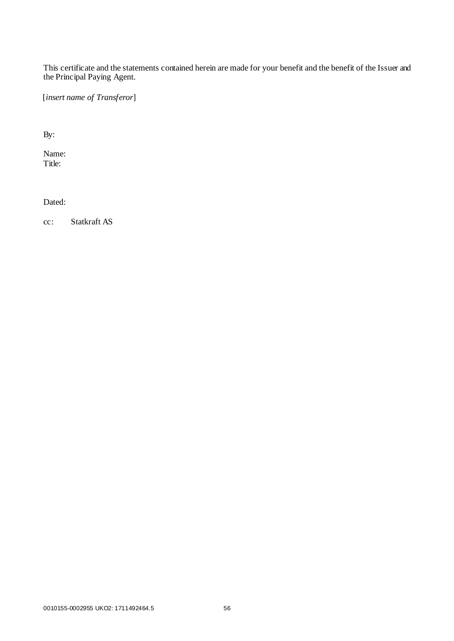This certificate and the statements contained herein are made for your benefit and the benefit of the Issuer and the Principal Paying Agent.

[*insert name of Transferor*]

By:

Name: Title:

Dated:

cc: Statkraft AS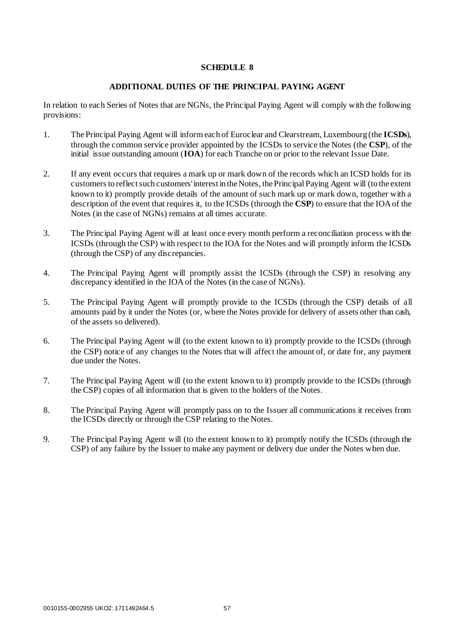## **SCHEDULE 8**

#### **ADDITIONAL DUTIES OF THE PRINCIPAL PAYING AGENT**

<span id="page-60-0"></span>In relation to each Series of Notes that are NGNs, the Principal Paying Agent will comply with the following provisions:

- 1. The Principal Paying Agent will inform each of Euroclear and Clearstream, Luxembourg (the **ICSDs**), through the common service provider appointed by the ICSDs to service the Notes (the **CSP**), of the initial issue outstanding amount (**IOA**) for each Tranche on or prior to the relevant Issue Date.
- 2. If any event occurs that requires a mark up or mark down of the records which an ICSD holds for its customers to reflect such customers' interest in the Notes, the Principal Paying Agent will (to the extent known to it) promptly provide details of the amount of such mark up or mark down, together with a description of the event that requires it, to the ICSDs (through the **CSP**) to ensure that the IOA of the Notes (in the case of NGNs) remains at all times accurate.
- 3. The Principal Paying Agent will at least once every month perform a reconciliation process with the ICSDs (through the CSP) with respect to the IOA for the Notes and will promptly inform the ICSDs (through the CSP) of any discrepancies.
- 4. The Principal Paying Agent will promptly assist the ICSDs (through the CSP) in resolving any discrepancy identified in the IOA of the Notes (in the case of NGNs).
- 5. The Principal Paying Agent will promptly provide to the ICSDs (through the CSP) details of all amounts paid by it under the Notes (or, where the Notes provide for delivery of assets other than cash, of the assets so delivered).
- 6. The Principal Paying Agent will (to the extent known to it) promptly provide to the ICSDs (through the CSP) notice of any changes to the Notes that will affect the amount of, or date for, any payment due under the Notes.
- 7. The Principal Paying Agent will (to the extent known to it) promptly provide to the ICSDs (through the CSP) copies of all information that is given to the holders of the Notes.
- 8. The Principal Paying Agent will promptly pass on to the Issuer all communications it receives from the ICSDs directly or through the CSP relating to the Notes.
- <span id="page-60-1"></span>9. The Principal Paying Agent will (to the extent known to it) promptly notify the ICSDs (through the CSP) of any failure by the Issuer to make any payment or delivery due under the Notes when due.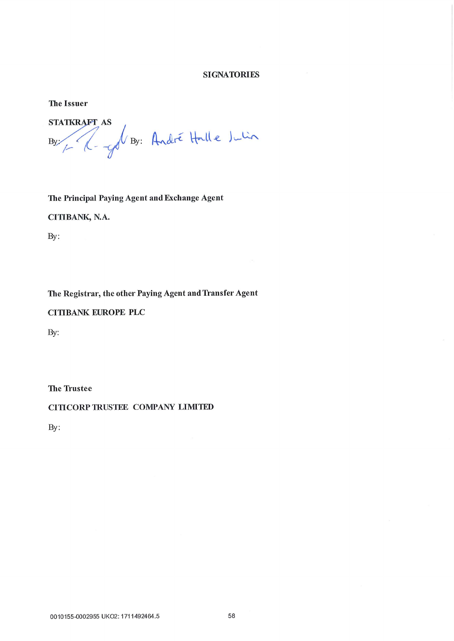## **SIGNATORIES**

**The Issuer** 

**STATKRAFT AS** By / (- y By: André Halle Julia

The Principal Paying Agent and Exchange Agent

CITIBANK, N.A.

By:

The Registrar, the other Paying Agent and Transfer Agent

**CITIBANK EUROPE PLC** 

By:

The Trustee

CITICORP TRUSTEE COMPANY LIMITED

By: